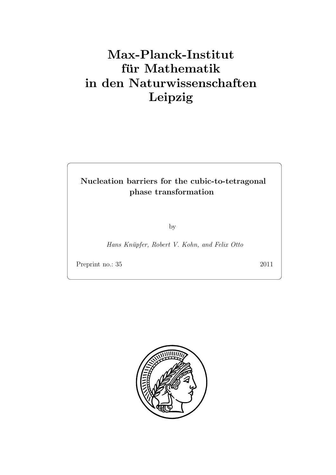# Max-Planck-Institut für Mathematik in den Naturwissenschaften Leipzig

## Nucleation barriers for the cubic-to-tetragonal phase transformation

by

Hans Knüpfer, Robert V. Kohn, and Felix Otto

Preprint no.: 35 2011

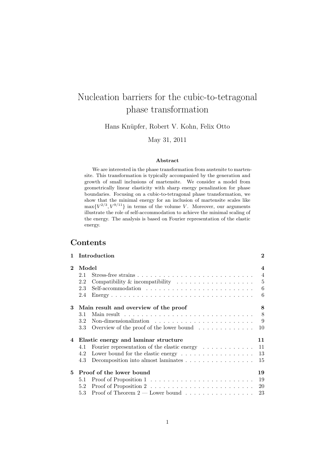## Nucleation barriers for the cubic-to-tetragonal phase transformation

Hans Knüpfer, Robert V. Kohn, Felix Otto

May 31, 2011

#### Abstract

We are interested in the phase transformation from austenite to martensite. This transformation is typically accompanied by the generation and growth of small inclusions of martensite. We consider a model from geometrically linear elasticity with sharp energy penalization for phase boundaries. Focusing on a cubic-to-tetragonal phase transformation, we show that the minimal energy for an inclusion of martensite scales like  $\max\{V^{2/3}, V^{9/11}\}\$ in terms of the volume V. Moreover, our arguments illustrate the role of self-accommodation to achieve the minimal scaling of the energy. The analysis is based on Fourier representation of the elastic energy.

## Contents

| 1                     |                                            | Introduction                                                                | $\bf{2}$                                  |  |
|-----------------------|--------------------------------------------|-----------------------------------------------------------------------------|-------------------------------------------|--|
| $\mathcal{D}_{\cdot}$ | Model<br>2.1                               |                                                                             | $\overline{\mathbf{4}}$<br>$\overline{4}$ |  |
|                       | 2.2                                        | Compatibility & incompatibility $\ldots \ldots \ldots \ldots \ldots \ldots$ | $\overline{5}$                            |  |
|                       | 2.3                                        |                                                                             | 6                                         |  |
|                       | 2.4                                        |                                                                             | 6                                         |  |
| 3                     | 8<br>Main result and overview of the proof |                                                                             |                                           |  |
|                       | 3.1                                        |                                                                             | 8                                         |  |
|                       | $3.2\,$                                    | Non-dimensionalization $\ldots \ldots \ldots \ldots \ldots \ldots \ldots$   | 9                                         |  |
|                       | 3.3                                        | Overview of the proof of the lower bound $\ldots \ldots \ldots \ldots$      | 10                                        |  |
| 4                     | Elastic energy and laminar structure<br>11 |                                                                             |                                           |  |
|                       | 4.1                                        | Fourier representation of the elastic energy $\dots \dots \dots$            | 11                                        |  |
|                       | 4.2                                        | Lower bound for the elastic energy $\dots \dots \dots \dots \dots \dots$    | 13                                        |  |
|                       | 4.3                                        | Decomposition into almost laminates                                         | 15                                        |  |
| 5.                    | Proof of the lower bound<br>19             |                                                                             |                                           |  |
|                       | 5.1                                        |                                                                             | 19                                        |  |
|                       | 5.2                                        |                                                                             | 20                                        |  |
|                       | 5.3                                        | Proof of Theorem $2$ — Lower bound $\ldots \ldots \ldots \ldots \ldots$     | 23                                        |  |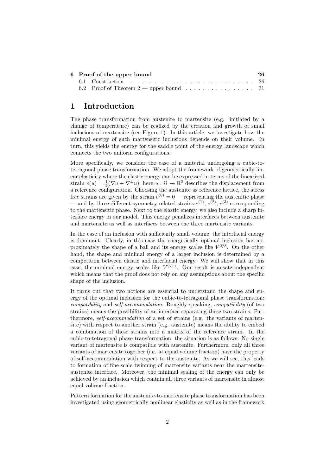| 6 Proof of the upper bound |                                           | 26 |
|----------------------------|-------------------------------------------|----|
|                            |                                           |    |
|                            | 6.2 Proof of Theorem $2$ — upper bound 31 |    |

## <span id="page-3-0"></span>1 Introduction

The phase transformation from austenite to martensite (e.g. initiated by a change of temperature) can be realized by the creation and growth of small inclusions of martensite (see Figure [1\)](#page-4-0). In this article, we investigate how the minimal energy of such martensitic inclusions depends on their volume. In turn, this yields the energy for the saddle point of the energy landscape which connects the two uniform configurations.

More specifically, we consider the case of a material undergoing a cubic-totetragonal phase transformation. We adopt the framework of geometrically linear elasticity where the elastic energy can be expressed in terms of the linearized strain  $e(u) = \frac{1}{2}(\nabla u + \nabla^{\perp} u)$ ; here  $u : \Omega \to \mathbb{R}^3$  describes the displacement from a reference configuration. Choosing the austenite as reference lattice, the stress free strains are given by the strain  $e^{(0)} = 0$  — representing the austenitic phase — and by three different symmetry related strains  $e^{(1)}$ ,  $e^{(2)}$ ,  $e^{(3)}$  corresponding to the martensitic phase. Next to the elastic energy, we also include a sharp interface energy in our model. This energy penalizes interfaces between austenite and martensite as well as interfaces between the three martensite variants.

In the case of an inclusion with sufficiently small volume, the interfacial energy is dominant. Clearly, in this case the energetically optimal inclusion has approximately the shape of a ball and its energy scales like  $V^{2/3}$ . On the other hand, the shape and minimal energy of a larger inclusion is determined by a competition between elastic and interfacial energy. We will show that in this case, the minimal energy scales like  $V^{9/11}$ . Our result is ansatz-independent which means that the proof does not rely on any assumptions about the specific shape of the inclusion.

It turns out that two notions are essential to understand the shape and energy of the optimal inclusion for the cubic-to-tetragonal phase transformation: compatibility and self-accommodation. Roughly speaking, compatibility (of two strains) means the possibility of an interface separating these two strains. Furthermore, self-accommodation of a set of strains (e.g. the variants of martensite) with respect to another strain (e.g. austenite) means the ability to embed a combination of these strains into a matrix of the reference strain. In the cubic-to-tetragonal phase transformation, the situation is as follows: No single variant of martensite is compatible with austenite. Furthermore, only all three variants of martensite together (i.e. at equal volume fraction) have the property of self-accommodation with respect to the austenite. As we will see, this leads to formation of fine scale twinning of martensite variants near the martensiteaustenite interface. Moreover, the minimal scaling of the energy can only be achieved by an inclusion which contain all three variants of martensite in almost equal volume fraction.

Pattern formation for the austenite-to-martensite phase transformation has been investigated using geometrically nonlinear elasticity as well as in the framework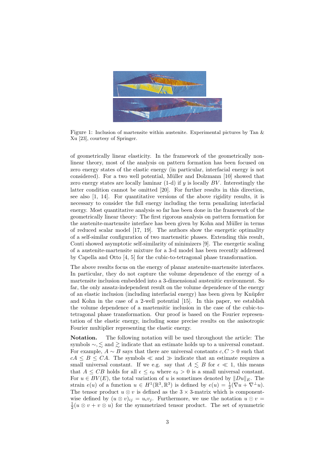

Figure 1: Inclusion of martensite within austenite. Experimental pictures by Tan & Xu [\[23\]](#page-35-0), courtesy of Springer.

<span id="page-4-0"></span>of geometrically linear elasticity. In the framework of the geometrically nonlinear theory, most of the analysis on pattern formation has been focused on zero energy states of the elastic energy (in particular, interfacial energy is not considered). For a two well potential, Müller and Dolzmann [\[10\]](#page-34-0) showed that zero energy states are locally laminar  $(1-d)$  if y is locally BV. Interestingly the latter condition cannot be omitted [\[20\]](#page-35-1). For further results in this direction, see also [\[1,](#page-34-1) [14\]](#page-34-2). For quantitative versions of the above rigidity results, it is necessary to consider the full energy including the term penalizing interfacial energy. Most quantitative analysis so far has been done in the framework of the geometrically linear theory: The first rigorous analysis on pattern formation for the austenite-martensite interface has been given by Kohn and Müller in terms of reduced scalar model [\[17,](#page-34-3) [19\]](#page-35-2). The authors show the energetic optimality of a self-similar configuration of two martensitic phases. Extending this result, Conti showed asymptotic self-similarity of minimizers [\[9\]](#page-34-4). The energetic scaling of a austenite-martensite mixture for a 3-d model has been recently addressed by Capella and Otto [\[4,](#page-34-5) [5\]](#page-34-6) for the cubic-to-tetragonal phase transformation.

The above results focus on the energy of planar austenite-martensite interfaces. In particular, they do not capture the volume dependence of the energy of a martensite inclusion embedded into a 3-dimensional austenitic environment. So far, the only ansatz-independent result on the volume dependence of the energy of an elastic inclusion (including interfacial energy) has been given by Knüpfer and Kohn in the case of a 2-well potential [\[15\]](#page-34-7). In this paper, we establish the volume dependence of a martensitic inclusion in the case of the cubic-totetragonal phase transformation. Our proof is based on the Fourier representation of the elastic energy, including some precise results on the anisotropic Fourier multiplier representing the elastic energy.

Notation. The following notation will be used throughout the article: The symbols  $\sim, \lesssim$  and  $\gtrsim$  indicate that an estimate holds up to a universal constant. For example,  $A \sim B$  says that there are universal constants  $c, C > 0$  such that  $cA \leq B \leq CA$ . The symbols  $\ll$  and  $\gg$  indicate that an estimate requires a small universal constant. If we e.g. say that  $A \leq B$  for  $\epsilon \ll 1$ , this means that  $A \leq CB$  holds for all  $\epsilon \leq \epsilon_0$  where  $\epsilon_0 > 0$  is a small universal constant. For  $u \in BV(E)$ , the total variation of u is sometimes denoted by  $||Du||_E$ . The strain  $e(u)$  of a function  $u \in H^1(\mathbb{R}^3, \mathbb{R}^3)$  is defined by  $e(u) = \frac{1}{2}(\nabla u + \nabla^{\perp} u)$ . The tensor product  $u \otimes v$  is defined as the  $3 \times 3$ -matrix which is componentwise defined by  $(u \otimes v)_{ii} = u_i v_i$ . Furthermore, we use the notation  $u \odot v =$  $\frac{1}{2}(u \otimes v + v \otimes u)$  for the symmetrized tensor product. The set of symmetric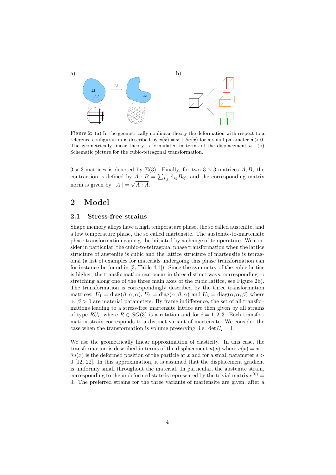

<span id="page-5-2"></span>Figure 2: (a) In the geometrically nonlinear theory the deformation with respect to a reference configuration is described by  $v(x) = x + \delta u(x)$  for a small parameter  $\delta > 0$ . The geometrically linear theory is formulated in terms of the displacement  $u$ . (b) Schematic picture for the cubic-tetragonal transformation.

 $3 \times 3$ -matrices is denoted by  $\Sigma(3)$ . Finally, for two  $3 \times 3$ -matrices A, B, the contraction is defined by  $A : B = \sum_{i,j} A_{ij} B_{ij}$ , and the corresponding matrix norm is given by  $||A|| = \sqrt{A : A}.$ 

## <span id="page-5-0"></span>2 Model

#### <span id="page-5-1"></span>2.1 Stress-free strains

Shape memory alloys have a high temperature phase, the so called austenite, and a low temperature phase, the so called martensite. The austenite-to-martensite phase transformation can e.g. be initiated by a change of temperature. We consider in particular, the cubic-to-tetragonal phase transformation when the lattice structure of austenite is cubic and the lattice structure of martensite is tetragonal (a list of examples for materials undergoing this phase transformation can for instance be found in [\[3,](#page-34-8) Table 4.1]). Since the symmetry of the cubic lattice is higher, the transformation can occur in three distinct ways, corresponding to stretching along one of the three main axes of the cubic lattice, see Figure [2b](#page-5-2)). The transformation is correspondingly described by the three transformation matrices:  $U_1 = \text{diag}(\beta, \alpha, \alpha)$ ,  $U_2 = \text{diag}(\alpha, \beta, \alpha)$  and  $U_3 = \text{diag}(\alpha, \alpha, \beta)$  where  $\alpha$ ,  $\beta > 0$  are material parameters. By frame indifference, the set of all transformations leading to a stress-free martensite lattice are then given by all strains of type  $RU_i$ , where  $R \in SO(3)$  is a rotation and for  $i = 1, 2, 3$ . Each transformation strain corresponds to a distinct variant of martensite. We consider the case when the transformation is volume preserving, i.e. det  $U_i = 1$ .

We use the geometrically linear approximation of elasticity. In this case, the transformation is described in terms of the displacement  $u(x)$  where  $v(x) = x +$  $\delta u(x)$  is the deformed position of the particle at x and for a small parameter  $\delta$ 0 [\[12,](#page-34-9) [22\]](#page-35-3). In this approximation, it is assumed that the displacement gradient is uniformly small throughout the material. In particular, the austenite strain, corresponding to the undeformed state is represented by the trivial matrix  $e^{(0)} =$ 0. The preferred strains for the three variants of martensite are given, after a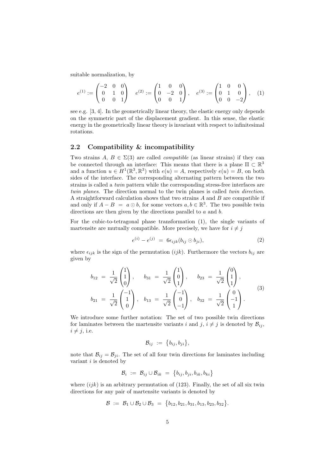suitable normalization, by

<span id="page-6-1"></span>
$$
e^{(1)} := \begin{pmatrix} -2 & 0 & 0 \\ 0 & 1 & 0 \\ 0 & 0 & 1 \end{pmatrix} \quad e^{(2)} := \begin{pmatrix} 1 & 0 & 0 \\ 0 & -2 & 0 \\ 0 & 0 & 1 \end{pmatrix}, \quad e^{(3)} := \begin{pmatrix} 1 & 0 & 0 \\ 0 & 1 & 0 \\ 0 & 0 & -2 \end{pmatrix}, \quad (1)
$$

see e.g. [\[3,](#page-34-8) [4\]](#page-34-5). In the geometrically linear theory, the elastic energy only depends on the symmetric part of the displacement gradient. In this sense, the elastic energy in the geometrically linear theory is invariant with respect to infinitesimal rotations.

#### <span id="page-6-0"></span>2.2 Compatibility & incompatibility

Two strains  $A, B \in \Sigma(3)$  are called *compatible* (as linear strains) if they can be connected through an interface: This means that there is a plane  $\Pi \subset \mathbb{R}^3$ and a function  $u \in H^1(\mathbb{R}^3, \mathbb{R}^3)$  with  $e(u) = A$ , respectively  $e(u) = B$ , on both sides of the interface. The corresponding alternating pattern between the two strains is called a twin pattern while the corresponding stress-free interfaces are twin planes. The direction normal to the twin planes is called *twin direction*. A straightforward calculation shows that two strains  $A$  and  $B$  are compatible if and only if  $A - B = a \odot b$ , for some vectors  $a, b \in \mathbb{R}^3$ . The two possible twin directions are then given by the directions parallel to a and b.

For the cubic-to-tetragonal phase transformation [\(1\)](#page-6-1), the single variants of martensite are mutually compatible. More precisely, we have for  $i \neq j$ 

$$
e^{(i)} - e^{(j)} = 6\epsilon_{ijk}(b_{ij} \odot b_{ji}), \qquad (2)
$$

where  $\epsilon_{ijk}$  is the sign of the permutation (ijk). Furthermore the vectors  $b_{ij}$  are given by

$$
b_{12} = \frac{1}{\sqrt{2}} \begin{pmatrix} 1 \\ 1 \\ 0 \end{pmatrix}, \quad b_{31} = \frac{1}{\sqrt{2}} \begin{pmatrix} 1 \\ 0 \\ 1 \end{pmatrix}, \quad b_{23} = \frac{1}{\sqrt{2}} \begin{pmatrix} 0 \\ 1 \\ 1 \end{pmatrix},
$$
  

$$
b_{21} = \frac{1}{\sqrt{2}} \begin{pmatrix} -1 \\ 1 \\ 0 \end{pmatrix}, \quad b_{13} = \frac{1}{\sqrt{2}} \begin{pmatrix} -1 \\ 0 \\ -1 \end{pmatrix}, \quad b_{32} = \frac{1}{\sqrt{2}} \begin{pmatrix} 0 \\ -1 \\ 1 \end{pmatrix}.
$$
 (3)

We introduce some further notation: The set of two possible twin directions for laminates between the martensite variants i and j,  $i \neq j$  is denoted by  $\mathcal{B}_{ii}$ ,  $i \neq j$ , i.e.

$$
\mathcal{B}_{ij} := \{b_{ij}, b_{ji}\},\
$$

note that  $\mathcal{B}_{ij} = \mathcal{B}_{ji}$ . The set of all four twin directions for laminates including variant *i* is denoted by

$$
\mathcal{B}_i \ := \ \mathcal{B}_{ij} \cup \mathcal{B}_{ik} \ = \ \big\{ b_{ij}, b_{ji}, b_{ik}, b_{ki} \big\}
$$

where  $(ijk)$  is an arbitrary permutation of (123). Finally, the set of all six twin directions for any pair of martensite variants is denoted by

$$
\mathcal{B} := \mathcal{B}_1 \cup \mathcal{B}_2 \cup \mathcal{B}_3 = \{b_{12}, b_{21}, b_{31}, b_{13}, b_{23}, b_{32}\}.
$$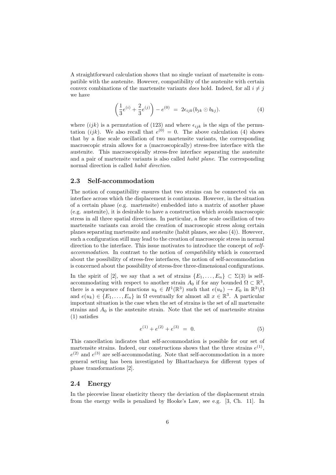A straightforward calculation shows that no single variant of martensite is compatible with the austenite. However, compatibility of the austenite with certain convex combinations of the martensite variants does hold. Indeed, for all  $i \neq j$ we have

<span id="page-7-2"></span>
$$
\left(\frac{1}{3}e^{(i)} + \frac{2}{3}e^{(j)}\right) - e^{(0)} = 2\epsilon_{ijk}(b_{jk}\odot b_{kj}).
$$
\n(4)

where  $(ijk)$  is a permutation of (123) and where  $\epsilon_{ijk}$  is the sign of the permutation (*ijk*). We also recall that  $e^{(0)} = 0$ . The above calculation [\(4\)](#page-7-2) shows that by a fine scale oscillation of two martensite variants, the corresponding macroscopic strain allows for a (macroscopically) stress-free interface with the austenite. This macroscopically stress-free interface separating the austenite and a pair of martensite variants is also called habit plane. The corresponding normal direction is called *habit direction*.

#### <span id="page-7-0"></span>2.3 Self-accommodation

The notion of compatibility ensures that two strains can be connected via an interface across which the displacement is continuous. However, in the situation of a certain phase (e.g. martensite) embedded into a matrix of another phase (e.g. austenite), it is desirable to have a construction which avoids macroscopic stress in all three spatial directions. In particular, a fine scale oscillation of two martensite variants can avoid the creation of macroscopic stress along certain planes separating martensite and austenite (habit planes, see also [\(4\)](#page-7-2)). However, such a configuration still may lead to the creation of macroscopic stress in normal direction to the interface. This issue motivates to introduce the concept of selfaccommodation. In contrast to the notion of compatibility which is concerned about the possibility of stress-free interfaces, the notion of self-accommodation is concerned about the possibility of stress-free three-dimensional configurations.

In the spirit of [\[2\]](#page-34-10), we say that a set of strains  $\{E_1, \ldots, E_n\} \subset \Sigma(3)$  is selfaccommodating with respect to another strain  $A_0$  if for any bounded  $\Omega \subset \mathbb{R}^3$ , there is a sequence of functions  $u_k \in H^1(\mathbb{R}^3)$  such that  $e(u_k) \to E_0$  in  $\mathbb{R}^3 \setminus \Omega$ and  $e(u_k) \in \{E_1, \ldots, E_n\}$  in  $\Omega$  eventually for almost all  $x \in \mathbb{R}^3$ . A particular important situation is the case when the set of strains is the set of all martensite strains and  $A_0$  is the austenite strain. Note that the set of martensite strains [\(1\)](#page-6-1) satisfies

$$
e^{(1)} + e^{(2)} + e^{(3)} = 0.
$$
 (5)

This cancellation indicates that self-accommodation is possible for our set of martensite strains. Indeed, our constructions shows that the three strains  $e^{(1)}$ ,  $e^{(2)}$  and  $e^{(3)}$  are self-accommodating. Note that self-accommodation in a more general setting has been investigated by Bhattacharya for different types of phase transformations [\[2\]](#page-34-10).

## <span id="page-7-1"></span>2.4 Energy

In the piecewise linear elasticity theory the deviation of the displacement strain from the energy wells is penalized by Hooke's Law, see e.g. [\[3,](#page-34-8) Ch. 11]. In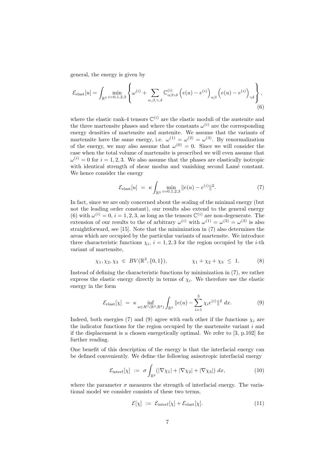general, the energy is given by

$$
\mathcal{E}_{\text{elast}}[u] = \int_{\mathbb{R}^3} \min_{i=0,1,2,3} \left\{ \omega^{(i)} + \sum_{\alpha,\beta,\gamma,\delta} \mathbb{C}^{(i)}_{\alpha\beta\gamma\delta} \left( e(u) - e^{(i)} \right)_{\alpha\beta} \left( e(u) - e^{(i)} \right)_{\gamma\delta} \right\},\tag{6}
$$

where the elastic rank-4 tensors  $\mathbb{C}^{(i)}$  are the elastic moduli of the austenite and the three martensite phases and where the constants  $\omega^{(i)}$  are the corresponding energy densities of martensite and austenite. We assume that the variants of martensite have the same energy, i.e.  $\omega^{(1)} = \omega^{(2)} = \omega^{(3)}$ . By renormalization of the energy, we may also assume that  $\omega^{(0)} = 0$ . Since we will consider the case when the total volume of martensite is prescribed we will even assume that  $\omega^{(i)} = 0$  for  $i = 1, 2, 3$ . We also assume that the phases are elastically isotropic with identical strength of shear modus and vanishing second Lamé constant. We hence consider the energy

<span id="page-8-3"></span><span id="page-8-1"></span><span id="page-8-0"></span>
$$
\mathcal{E}_{\text{elast}}[u] = \kappa \int_{\mathbb{R}^3} \min_{i=0,1,2,3} \|e(u) - e^{(i)}\|^2. \tag{7}
$$

In fact, since we are only concerned about the scaling of the minimal energy (but not the leading order constant), our results also extend to the general energy [\(6\)](#page-8-0) with  $\omega^{(i)} = 0$ ,  $i = 1, 2, 3$ , as long as the tensors  $\mathbb{C}^{(i)}$  are non-degenerate. The extension of our results to the of arbitrary  $\omega^{(i)}$  with  $\omega^{(1)} = \omega^{(2)} = \omega^{(3)}$  is also straightforward, see [\[15\]](#page-34-7). Note that the minimization in [\(7\)](#page-8-1) also determines the areas which are occupied by the particular variants of martensite. We introduce three characteristic functions  $\chi_i$ ,  $i = 1, 2, 3$  for the region occupied by the *i*-th variant of martensite,

$$
\chi_1, \chi_2, \chi_3 \in BV(\mathbb{R}^3, \{0, 1\}), \qquad \chi_1 + \chi_2 + \chi_3 \leq 1. \tag{8}
$$

Instead of defining the characteristic functions by minimization in [\(7\)](#page-8-1), we rather express the elastic energy directly in terms of  $\chi_i$ . We therefore use the elastic energy in the form

<span id="page-8-2"></span>
$$
\mathcal{E}_{\text{elast}}[\chi] = \kappa \inf_{u \in H^1(\mathbb{R}^3, \mathbb{R}^3)} \int_{\mathbb{R}^3} \|e(u) - \sum_{i=1}^3 \chi_i e^{(i)}\|^2 dx. \tag{9}
$$

Indeed, both energies [\(7\)](#page-8-1) and [\(9\)](#page-8-2) agree with each other if the functions  $\chi_i$  are the indicator functions for the region occupied by the martensite variant  $i$  and if the displacement is u chosen energetically optimal. We refer to  $[3, p.102]$  $[3, p.102]$  for further reading.

One benefit of this description of the energy is that the interfacial energy can be defined conveniently. We define the following anisotropic interfacial energy

$$
\mathcal{E}_{\text{interf}}[\chi] := \sigma \int_{\mathbb{R}^3} (|\nabla \chi_1| + |\nabla \chi_2| + |\nabla \chi_3|) \, dx,\tag{10}
$$

where the parameter  $\sigma$  measures the strength of interfacial energy. The variational model we consider consists of these two terms,

$$
\mathcal{E}[\chi] := \mathcal{E}_{\text{interf}}[\chi] + \mathcal{E}_{\text{elast}}[\chi]. \tag{11}
$$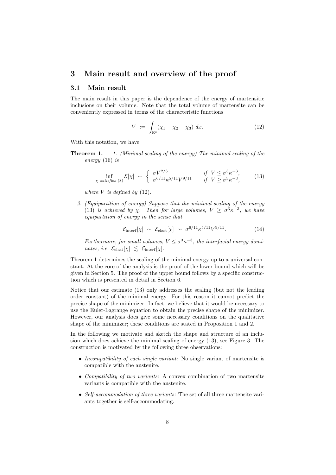## <span id="page-9-0"></span>3 Main result and overview of the proof

### <span id="page-9-1"></span>3.1 Main result

The main result in this paper is the dependence of the energy of martensitic inclusions on their volume. Note that the total volume of martensite can be conveniently expressed in terms of the characteristic functions

<span id="page-9-3"></span><span id="page-9-2"></span>
$$
V := \int_{\mathbb{R}^3} (\chi_1 + \chi_2 + \chi_3) \, dx. \tag{12}
$$

<span id="page-9-4"></span>With this notation, we have

**Theorem 1.** 1. (Minimal scaling of the energy) The minimal scaling of the energy [\(16\)](#page-10-1) is

$$
\inf_{\chi \text{ satisfies (8)}} \mathcal{E}[\chi] \sim \begin{cases} \sigma V^{2/3} & \text{if } V \le \sigma^3 \kappa^{-3}, \\ \sigma^{6/11} \kappa^{5/11} V^{9/11} & \text{if } V \ge \sigma^3 \kappa^{-3}, \end{cases} \tag{13}
$$

where  $V$  is defined by  $(12)$ .

2. (Equipartition of energy) Suppose that the minimal scaling of the energy [\(13\)](#page-9-3) is achieved by  $\chi$ . Then for large volumes,  $V \ge \sigma^3 \kappa^{-3}$ , we have equipartition of energy in the sense that

$$
\mathcal{E}_{\text{interf}}[\chi] \sim \mathcal{E}_{\text{elast}}[\chi] \sim \sigma^{6/11} \kappa^{5/11} V^{9/11}.
$$
 (14)

Furthermore, for small volumes,  $V \leq \sigma^3 \kappa^{-3}$ , the interfacial energy dominates, i.e.  $\mathcal{E}_{\text{elast}}[\chi] \leq \mathcal{E}_{\text{interf}}[\chi]$ .

Theorem [1](#page-9-4) determines the scaling of the minimal energy up to a universal constant. At the core of the analysis is the proof of the lower bound which will be given in Section [5.](#page-20-0) The proof of the upper bound follows by a specific construction which is presented in detail in Section [6.](#page-27-0)

Notice that our estimate [\(13\)](#page-9-3) only addresses the scaling (but not the leading order constant) of the minimal energy. For this reason it cannot predict the precise shape of the minimizer. In fact, we believe that it would be necessary to use the Euler-Lagrange equation to obtain the precise shape of the minimizer. However, our analysis does give some necessary conditions on the qualitative shape of the minimizer; these conditions are stated in Proposition [1](#page-11-1) and [2.](#page-12-2)

In the following we motivate and sketch the shape and structure of an inclusion which does achieve the minimal scaling of energy [\(13\)](#page-9-3), see Figure [3.](#page-10-2) The construction is motivated by the following three observations:

- Incompatibility of each single variant: No single variant of martensite is compatible with the austenite.
- Compatibility of two variants: A convex combination of two martensite variants is compatible with the austenite.
- Self-accommodation of three variants: The set of all three martensite variants together is self-accommodating.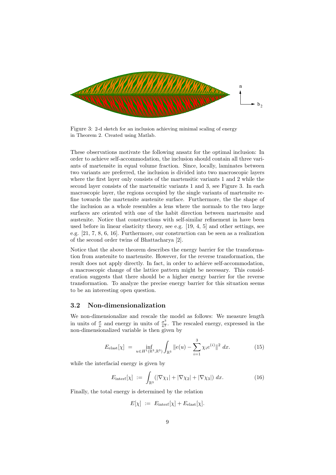

<span id="page-10-2"></span>Figure 3: 2-d sketch for an inclusion achieving minimal scaling of energy in Theorem [2.](#page-11-2) Created using Matlab.

These observations motivate the following ansatz for the optimal inclusion: In order to achieve self-accommodation, the inclusion should contain all three variants of martensite in equal volume fraction. Since, locally, laminates between two variants are preferred, the inclusion is divided into two macroscopic layers where the first layer only consists of the martensitic variants 1 and 2 while the second layer consists of the martensitic variants 1 and 3, see Figure [3.](#page-10-2) In each macroscopic layer, the regions occupied by the single variants of martensite refine towards the martensite austenite surface. Furthermore, the the shape of the inclusion as a whole resembles a lens where the normals to the two large surfaces are oriented with one of the habit direction between martensite and austenite. Notice that constructions with self-similar refinement in have been used before in linear elasticity theory, see e.g. [\[19,](#page-35-2) [4,](#page-34-5) [5\]](#page-34-6) and other settings, see e.g. [\[21,](#page-35-4) [7,](#page-34-11) [8,](#page-34-12) [6,](#page-34-13) [16\]](#page-34-14). Furthermore, our construction can be seen as a realization of the second order twins of Bhattacharya [\[2\]](#page-34-10).

Notice that the above theorem describes the energy barrier for the transformation from austenite to martensite. However, for the reverse transformation, the result does not apply directly. In fact, in order to achieve self-accommodation, a macroscopic change of the lattice pattern might be necessary. This consideration suggests that there should be a higher energy barrier for the reverse transformation. To analyze the precise energy barrier for this situation seems to be an interesting open question.

#### <span id="page-10-0"></span>3.2 Non-dimensionalization

We non-dimensionalize and rescale the model as follows: We measure length in units of  $\frac{\sigma}{\kappa}$  and energy in units of  $\frac{\sigma^3}{\kappa^2}$ . The rescaled energy, expressed in the non-dimensionalized variable is then given by

$$
E_{\text{elast}}[\chi] = \inf_{u \in H^1(\mathbb{R}^3, \mathbb{R}^3)} \int_{\mathbb{R}^3} \|e(u) - \sum_{i=1}^3 \chi_i e^{(i)}\|^2 dx. \tag{15}
$$

while the interfacial energy is given by

$$
E_{\text{interf}}[\chi] := \int_{\mathbb{R}^3} (|\nabla \chi_1| + |\nabla \chi_2| + |\nabla \chi_3|) dx. \tag{16}
$$

Finally, the total energy is determined by the relation

<span id="page-10-1"></span>
$$
E[\chi] := E_{\text{interf}}[\chi] + E_{\text{elast}}[\chi].
$$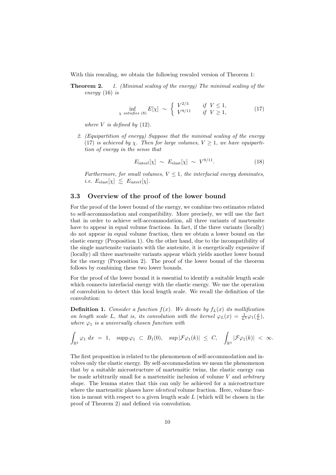<span id="page-11-2"></span>With this rescaling, we obtain the following rescaled version of Theorem [1:](#page-9-4)

**Theorem 2.** 1. (Minimal scaling of the energy) The minimal scaling of the energy [\(16\)](#page-10-1) is

$$
\inf_{\chi \ satisfies (8)} E[\chi] \sim \begin{cases} V^{2/3} & \text{if } V \le 1, \\ V^{9/11} & \text{if } V \ge 1, \end{cases} \tag{17}
$$

where  $V$  is defined by  $(12)$ .

2. (Equipartition of energy) Suppose that the minimal scaling of the energy [\(17\)](#page-11-3) is achieved by  $\chi$ . Then for large volumes,  $V \geq 1$ , we have equipartition of energy in the sense that

<span id="page-11-5"></span><span id="page-11-3"></span>
$$
E_{\text{interf}}[\chi] \sim E_{\text{elast}}[\chi] \sim V^{9/11}.
$$
 (18)

Furthermore, for small volumes,  $V \leq 1$ , the interfacial energy dominates, *i.e.*  $E_{\text{elast}}[\chi] \leq E_{\text{interf}}[\chi]$ .

## <span id="page-11-0"></span>3.3 Overview of the proof of the lower bound

For the proof of the lower bound of the energy, we combine two estimates related to self-accommodation and compatibility. More precisely, we will use the fact that in order to achieve self-accommodation, all three variants of martensite have to appear in equal volume fractions. In fact, if the three variants (locally) do not appear in equal volume fraction, then we obtain a lower bound on the elastic energy (Proposition [1\)](#page-11-1). On the other hand, due to the incompatibility of the single martensite variants with the austenite, it is energetically expensive if (locally) all three martensite variants appear which yields another lower bound for the energy (Proposition [2\)](#page-12-2). The proof of the lower bound of the theorem follows by combining these two lower bounds.

For the proof of the lower bound it is essential to identify a suitable length scale which connects interfacial energy with the elastic energy. We use the operation of convolution to detect this local length scale. We recall the definition of the convolution:

<span id="page-11-4"></span>**Definition 1.** Consider a function  $f(x)$ . We denote by  $f_L(x)$  its mollification on length scale L, that is, its convolution with the kernel  $\varphi_L(x) = \frac{1}{L^3} \varphi_1(\frac{x}{L}),$ where  $\varphi_1$  is a universally chosen function with

$$
\int_{\mathbb{R}^3} \varphi_1 \, dx \ = \ 1, \quad \mathrm{supp} \, \varphi_1 \ \subset \ B_1(0), \quad \mathrm{sup} \, |\mathcal{F} \varphi_1(k)| \ \leq \ C, \quad \int_{\mathbb{R}^3} |\mathcal{F} \varphi_1(k)| \ < \ \infty.
$$

<span id="page-11-1"></span>The first proposition is related to the phenomenon of self-accommodation and involves only the elastic energy. By self-accommodation we mean the phenomenon that by a suitable microstructure of martensitic twins, the elastic energy can be made arbitrarily small for a martensitic inclusion of volume  $V$  and arbitrary shape. The lemma states that this can only be achieved for a microstructure where the martensitic phases have *identical* volume fraction. Here, volume fraction is meant with respect to a given length scale  $L$  (which will be chosen in the proof of Theorem [2\)](#page-11-2) and defined via convolution.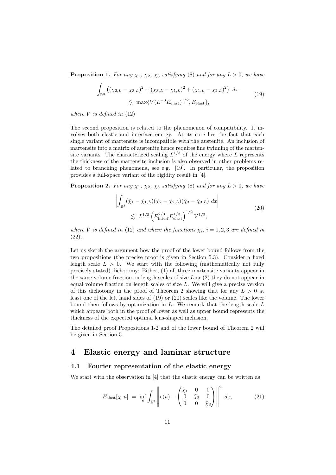**Proposition 1.** For any  $\chi_1$ ,  $\chi_2$ ,  $\chi_3$  satisfying [\(8\)](#page-8-3) and for any  $L > 0$ , we have

<span id="page-12-3"></span>
$$
\int_{\mathbb{R}^3} \left( (\chi_{2,L} - \chi_{3,L})^2 + (\chi_{3,L} - \chi_{1,L})^2 + (\chi_{1,L} - \chi_{2,L})^2 \right) dx
$$
\n
$$
\lesssim \max \{ V(L^{-3}E_{\text{elast}})^{1/2}, E_{\text{elast}} \},
$$
\n(19)

where  $V$  is defined in  $(12)$ 

The second proposition is related to the phenomenon of compatibility. It involves both elastic and interface energy. At its core lies the fact that each single variant of martensite is incompatible with the austenite. An inclusion of martensite into a matrix of austenite hence requires fine twinning of the martensite variants. The characterized scaling  $L^{1/3}$  of the energy where L represents the thickness of the martensite inclusion is also observed in other problems related to branching phenomena, see e.g. [\[19\]](#page-35-2). In particular, the proposition provides a full-space variant of the rigidity result in [\[4\]](#page-34-5).

<span id="page-12-2"></span>**Proposition 2.** For any  $\chi_1$ ,  $\chi_2$ ,  $\chi_3$  satisfying [\(8\)](#page-8-3) and for any  $L > 0$ , we have

<span id="page-12-4"></span>
$$
\left| \int_{\mathbb{R}^3} (\tilde{\chi}_1 - \tilde{\chi}_{1,L}) (\tilde{\chi}_2 - \tilde{\chi}_{2,L}) (\tilde{\chi}_3 - \tilde{\chi}_{3,L}) \, dx \right|
$$
\n
$$
\lesssim L^{1/3} \left( E_{\text{inter}}^{2/3} E_{\text{elast}}^{1/3} \right)^{1/2} V^{1/2}, \tag{20}
$$

where V is defined in [\(12\)](#page-9-2) and where the functions  $\tilde{\chi}_i$ ,  $i = 1, 2, 3$  are defined in [\(22\)](#page-13-0).

Let us sketch the argument how the proof of the lower bound follows from the two propositions (the precise proof is given in Section [5.3\)](#page-24-0). Consider a fixed length scale  $L > 0$ . We start with the following (mathematically not fully precisely stated) dichotomy: Either, (1) all three martensite variants appear in the same volume fraction on length scales of size  $L$  or  $(2)$  they do not appear in equal volume fraction on length scales of size L. We will give a precise version of this dichotomy in the proof of Theorem [2](#page-11-2) showing that for any  $L > 0$  at least one of the left hand sides of [\(19\)](#page-12-3) or [\(20\)](#page-12-4) scales like the volume. The lower bound then follows by optimization in  $L$ . We remark that the length scale  $L$ which appears both in the proof of lower as well as upper bound represents the thickness of the expected optimal lens-shaped inclusion.

The detailed proof Propositions [1-](#page-11-1)[2](#page-12-2) and of the lower bound of Theorem [2](#page-11-2) will be given in Section [5.](#page-20-0)

## <span id="page-12-0"></span>4 Elastic energy and laminar structure

#### <span id="page-12-1"></span>4.1 Fourier representation of the elastic energy

We start with the observation in [\[4\]](#page-34-5) that the elastic energy can be written as

<span id="page-12-5"></span>
$$
E_{\text{elast}}[\chi, u] = \inf_{e} \int_{\mathbb{R}^3} \left\| e(u) - \begin{pmatrix} \tilde{\chi}_1 & 0 & 0 \\ 0 & \tilde{\chi}_2 & 0 \\ 0 & 0 & \tilde{\chi}_3 \end{pmatrix} \right\|^2 dx, \tag{21}
$$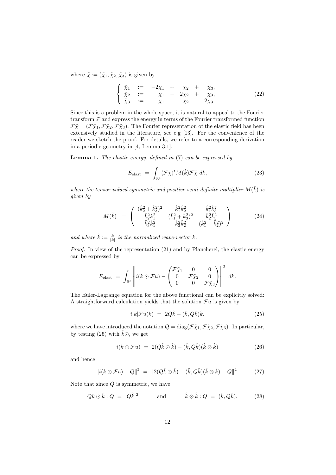where  $\tilde{\chi} := (\tilde{\chi}_1, \tilde{\chi}_2, \tilde{\chi}_3)$  is given by

<span id="page-13-0"></span>
$$
\begin{cases}\n\tilde{\chi}_1 := -2\chi_1 + \chi_2 + \chi_3, \\
\tilde{\chi}_2 := \chi_1 - 2\chi_2 + \chi_3, \\
\tilde{\chi}_3 := \chi_1 + \chi_2 - 2\chi_3.\n\end{cases}
$$
\n(22)

Since this is a problem in the whole space, it is natural to appeal to the Fourier transform  $\mathcal F$  and express the energy in terms of the Fourier transformed function  $\mathcal{F}\tilde{\chi} = (\mathcal{F}\tilde{\chi}_1, \mathcal{F}\tilde{\chi}_2, \mathcal{F}\tilde{\chi}_3)$ . The Fourier representation of the elastic field has been extensively studied in the literature, see e.g [\[13\]](#page-34-15). For the convenience of the reader we sketch the proof. For details, we refer to a corresponding derivation in a periodic geometry in [\[4,](#page-34-5) Lemma 3.1].

**Lemma 1.** The elastic energy, defined in  $(7)$  can be expressed by

<span id="page-13-3"></span>
$$
E_{\text{elast}} = \int_{\mathbb{R}^3} (\mathcal{F}\tilde{\chi})^t M(\hat{k}) \overline{\mathcal{F}\tilde{\chi}} \, dk, \tag{23}
$$

where the tensor-valued symmetric and positive semi-definite multiplier  $M(\hat{k})$  is given by

$$
M(\hat{k}) := \begin{pmatrix} (\hat{k}_2^2 + \hat{k}_3^2)^2 & \hat{k}_1^2 \hat{k}_2^2 & \hat{k}_1^2 \hat{k}_3^2 \\ \hat{k}_2^2 \hat{k}_1^2 & (\hat{k}_1^2 + \hat{k}_3^2)^2 & \hat{k}_2^2 \hat{k}_3^2 \\ \hat{k}_3^2 \hat{k}_1^2 & \hat{k}_3^2 \hat{k}_2^2 & (\hat{k}_1^2 + \hat{k}_2^2)^2 \end{pmatrix}
$$
(24)

and where  $\hat{k} := \frac{k}{|k|}$  is the normalized wave-vector k.

Proof. In view of the representation [\(21\)](#page-12-5) and by Plancherel, the elastic energy can be expressed by

$$
E_{\text{elast}} = \int_{\mathbb{R}^3} \left\| i(k \odot \mathcal{F}u) - \begin{pmatrix} \mathcal{F}\tilde{\chi}_1 & 0 & 0 \\ 0 & \mathcal{F}\tilde{\chi}_2 & 0 \\ 0 & 0 & \mathcal{F}\tilde{\chi}_3 \end{pmatrix} \right\|^2 dk.
$$

The Euler-Lagrange equation for the above functional can be explicitly solved: A straightforward calculation yields that the solution  $\mathcal{F}u$  is given by

<span id="page-13-2"></span><span id="page-13-1"></span>
$$
i|k|\mathcal{F}u(k) = 2Q\hat{k} - (\hat{k}, Q\hat{k})\hat{k}.
$$
\n(25)

where we have introduced the notation  $Q = \text{diag}(\mathcal{F}\tilde{\chi}_1, \mathcal{F}\tilde{\chi}_2, \mathcal{F}\tilde{\chi}_3)$ . In particular, by testing [\(25\)](#page-13-1) with  $\hat{k}$  $\odot$ , we get

$$
i(k \odot \mathcal{F}u) = 2(Q\hat{k} \odot \hat{k}) - (\hat{k}, Q\hat{k})(\hat{k} \otimes \hat{k})
$$
\n(26)

and hence

$$
\|i(k \odot \mathcal{F}u) - Q\|^2 = \|2(Q\hat{k} \odot \hat{k}) - (\hat{k}, Q\hat{k})(\hat{k} \otimes \hat{k}) - Q\|^2. \tag{27}
$$

Note that since  $Q$  is symmetric, we have

$$
Qk \odot \hat{k} : Q = |Q\hat{k}|^2 \quad \text{and} \quad \hat{k} \otimes \hat{k} : Q = (\hat{k}, Q\hat{k}). \quad (28)
$$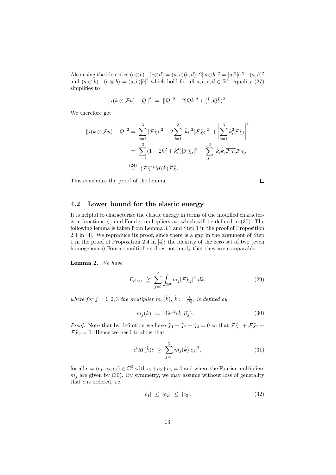Also using the identities  $(a \otimes b) : (c \otimes d) = (a, c)(b, d), 2||a \odot b||^2 = |a|^2|b|^2 + (a, b)^2$ and  $(a \odot b) : (b \otimes b) = (a, b)|b|^2$  which hold for all  $a, b, c, d \in \mathbb{R}^3$ , equality [\(27\)](#page-13-2) simplifies to

$$
||i(k \odot \mathcal{F}u) - Q||^2 = ||Q||^2 - 2|Q\hat{k}|^2 + (\hat{k}, Q\hat{k})^2.
$$

We therefore get

$$
||i(k \odot \mathcal{F}u) - Q||^2 = \sum_{i=1}^3 |\mathcal{F}\tilde{\chi}_i|^2 - 2 \sum_{i=1}^3 |\hat{k}_i|^2 |\mathcal{F}\tilde{\chi}_i|^2 + \left| \sum_{i=1}^3 \hat{k}_i^2 \mathcal{F}\tilde{\chi}_i \right|^2
$$
  
= 
$$
\sum_{i=1}^3 (1 - 2\hat{k}_i^2 + k_i^4) |\mathcal{F}\tilde{\chi}_i|^2 + \sum_{i,j=1}^3 \hat{k}_i \hat{k}_j \overline{\mathcal{F}\tilde{\chi}_i} \mathcal{F}\tilde{\chi}_j
$$
  

$$
\stackrel{(24)}{=} (\mathcal{F}\tilde{\chi})^t M(\hat{k}) \overline{\mathcal{F}\tilde{\chi}}.
$$

This concludes the proof of the lemma.

<span id="page-14-4"></span> $\Box$ 

### <span id="page-14-0"></span>4.2 Lower bound for the elastic energy

It is helpful to characterize the elastic energy in terms of the modified characteristic functions  $\tilde{\chi}_j$  and Fourier multipliers  $m_j$  which will be defined in [\(30\)](#page-14-1). The following lemma is taken from Lemma 3.1 and Step 1 in the proof of Proposition 2.4 in [\[4\]](#page-34-5). We reproduce its proof, since there is a gap in the argument of Step 1 in the proof of Proposition 2.4 in [\[4\]](#page-34-5): the identity of the zero set of two (even homogeneous) Fourier multipliers does not imply that they are comparable.

<span id="page-14-5"></span>Lemma 2. We have

$$
E_{\text{elast}} \geq \sum_{j=1}^{3} \int_{\mathbb{R}^3} m_j |\mathcal{F} \tilde{\chi}_j|^2 dk, \qquad (29)
$$

where for  $j = 1, 2, 3$  the multiplier  $m_j(\hat{k})$ ,  $\hat{k} := \frac{k}{|k|}$ , is defined by

<span id="page-14-1"></span>
$$
m_j(k) := \text{dist}^2(\hat{k}, \mathcal{B}_j). \tag{30}
$$

*Proof.* Note that by definition we have  $\tilde{\chi}_1 + \tilde{\chi}_2 + \tilde{\chi}_3 = 0$  so that  $\mathcal{F}\tilde{\chi}_1 + \mathcal{F}\tilde{\chi}_2 + \tilde{\chi}_3$  $\mathcal{F}\tilde{\chi}_3=0$ . Hence we need to show that

<span id="page-14-3"></span>
$$
c^{t}M(\hat{k})\bar{c} \geq \sum_{j=1}^{3} m_{j}(\hat{k})|c_{j}|^{2}, \qquad (31)
$$

for all  $c = (c_1, c_2, c_3) \in \mathbb{C}^3$  with  $c_1+c_2+c_3=0$  and where the Fourier multipliers  $m_i$  are given by [\(30\)](#page-14-1). By symmetry, we may assume without loss of generality that  $c$  is ordered, i.e.

<span id="page-14-2"></span>
$$
|c_1| \le |c_2| \le |c_3|.\tag{32}
$$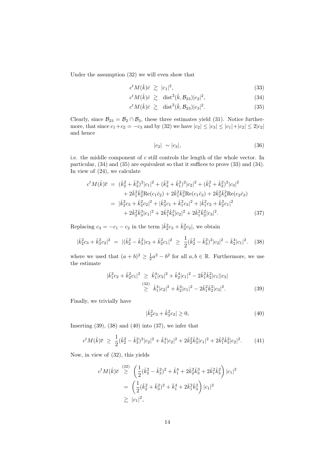Under the assumption [\(32\)](#page-14-2) we will even show that

$$
c^t M(\hat{k}) \bar{c} \ \gtrsim \ |c_1|^2,\tag{33}
$$

$$
c^t M(\hat{k}) \bar{c} \geq \text{dist}^2(\hat{k}, \mathcal{B}_{23}) |c_2|^2, \tag{34}
$$

$$
c^t M(\hat{k}) \bar{c} \geq \text{dist}^2(\hat{k}, \mathcal{B}_{23}) |c_3|^2. \tag{35}
$$

Clearly, since  $\mathcal{B}_{23} = \mathcal{B}_2 \cap \mathcal{B}_3$ , these three estimates yield [\(31\)](#page-14-3). Notice furthermore, that since  $c_1+c_2 = -c_3$  and by [\(32\)](#page-14-2) we have  $|c_2| \leq |c_3| \leq |c_1|+|c_2| \leq 2|c_2|$ and hence

<span id="page-15-6"></span><span id="page-15-2"></span><span id="page-15-1"></span><span id="page-15-0"></span>
$$
|c_2| \sim |c_3|,\tag{36}
$$

i.e. the middle component of  $c$  still controls the length of the whole vector. In particular, [\(34\)](#page-15-0) and [\(35\)](#page-15-1) are equivalent so that it suffices to prove [\(33\)](#page-15-2) and [\(34\)](#page-15-0). In view of [\(24\)](#page-13-3), we calculate

$$
c^{t}M(\hat{k})\overline{c} = (\hat{k}_{2}^{2} + \hat{k}_{3}^{2})^{2}|c_{1}|^{2} + (\hat{k}_{3}^{2} + \hat{k}_{1}^{2})^{2}|c_{2}|^{2} + (\hat{k}_{1}^{2} + \hat{k}_{2}^{2})^{2}|c_{3}|^{2}
$$
  
+  $2\hat{k}_{1}^{2}\hat{k}_{2}^{2}\text{Re}(c_{1}\overline{c}_{2}) + 2\hat{k}_{1}^{2}\hat{k}_{3}^{2}\text{Re}(c_{1}\overline{c}_{3}) + 2\hat{k}_{2}^{2}\hat{k}_{3}^{2}\text{Re}(c_{2}\overline{c}_{3})$   
=  $|\hat{k}_{2}^{2}c_{3} + \hat{k}_{3}^{2}c_{2}|^{2} + |\hat{k}_{3}^{2}c_{1} + \hat{k}_{1}^{2}c_{3}|^{2} + |\hat{k}_{1}^{2}c_{2} + \hat{k}_{2}^{2}c_{1}|^{2}$   
+  $2\hat{k}_{2}^{2}\hat{k}_{3}^{3}|c_{1}|^{2} + 2\hat{k}_{1}^{2}\hat{k}_{3}^{3}|c_{2}|^{2} + 2\hat{k}_{1}^{2}\hat{k}_{2}^{2}|c_{3}|^{2}. \qquad (37)$ 

Replacing  $c_3 = -c_1 - c_2$  in the term  $|\hat{k}_2^2 c_3 + \hat{k}_3^2 c_2|$ , we obtain

$$
|\hat{k}_2^2 c_3 + \hat{k}_3^2 c_2|^2 = |(\hat{k}_2^2 - \hat{k}_3^2)c_2 + \hat{k}_2^2 c_1|^2 \ge \frac{1}{2}(\hat{k}_2^2 - \hat{k}_3^2)^2 |c_2|^2 - \hat{k}_2^4 |c_1|^2. \tag{38}
$$

where we used that  $(a + b)^2 \ge \frac{1}{2}a^2 - b^2$  for all  $a, b \in \mathbb{R}$ . Furthermore, we use the estimate

$$
\begin{aligned}\n|\hat{k}_1^2 c_2 + \hat{k}_2^2 c_1|^2 &\geq \hat{k}_1^4 |c_2|^2 + \hat{k}_2^4 |c_1|^2 - 2\hat{k}_1^2 \hat{k}_2^2 |c_1||c_3| \\
&\geq \hat{k}_1^4 |c_2|^2 + \hat{k}_2^4 |c_1|^2 - 2\hat{k}_1^2 \hat{k}_2^2 |c_3|^2.\n\end{aligned} \tag{39}
$$

Finally, we trivially have

<span id="page-15-7"></span><span id="page-15-5"></span><span id="page-15-4"></span><span id="page-15-3"></span>
$$
|\hat{k}_2^2 c_3 + \hat{k}_3^2 c_2| \ge 0,\t\t(40)
$$

Inserting  $(39)$ ,  $(38)$  and  $(40)$  into  $(37)$ , we infer that

$$
c^t M(\hat{k}) \bar{c} \ge \frac{1}{2} (\hat{k}_2^2 - \hat{k}_3^2)^2 |c_2|^2 + \hat{k}_1^4 |c_2|^2 + 2 \hat{k}_2^2 \hat{k}_3^3 |c_1|^2 + 2 \hat{k}_1^2 \hat{k}_3^2 |c_2|^2. \tag{41}
$$

Now, in view of [\(32\)](#page-14-2), this yields

$$
c^t M(\hat{k}) \overline{c} \stackrel{(32)}{\geq} \left( \frac{1}{2} (\hat{k}_2^2 - \hat{k}_3^2)^2 + \hat{k}_1^4 + 2\hat{k}_2^2 \hat{k}_3^3 + 2\hat{k}_1^2 \hat{k}_3^2 \right) |c_1|^2
$$
  
= 
$$
\left( \frac{1}{2} (\hat{k}_2^2 + \hat{k}_3^2)^2 + \hat{k}_1^4 + 2\hat{k}_1^2 \hat{k}_3^2 \right) |c_1|^2
$$
  

$$
\geq |c_1|^2,
$$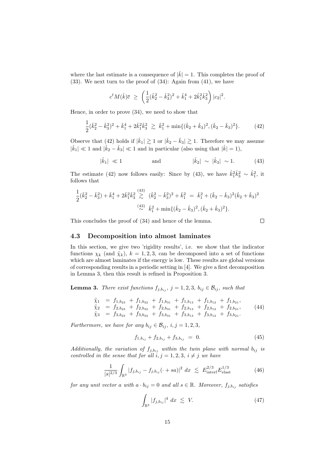where the last estimate is a consequence of  $|\hat{k}| = 1$ . This completes the proof of [\(33\)](#page-15-2). We next turn to the proof of [\(34\)](#page-15-0): Again from [\(41\)](#page-15-7), we have

$$
c^t M(\hat{k}) \overline{c} \ \ge \ \left( \frac{1}{2} (\hat{k}_2^2 - \hat{k}_3^2)^2 + \hat{k}_1^4 + 2 \hat{k}_1^2 \hat{k}_3^2 \right) |c_2|^2.
$$

Hence, in order to prove [\(34\)](#page-15-0), we need to show that

$$
\frac{1}{2}(\hat{k}_2^2 - \hat{k}_3^2)^2 + \hat{k}_1^4 + 2\hat{k}_1^2\hat{k}_3^2 \ge \hat{k}_1^2 + \min\{(\hat{k}_2 + \hat{k}_3)^2, (\hat{k}_2 - \hat{k}_3)^2\}.
$$
 (42)

Observe that [\(42\)](#page-16-1) holds if  $|\hat{k}_1| \gtrsim 1$  or  $|\hat{k}_2 - \hat{k}_3| \gtrsim 1$ . Therefore we may assume  $|\hat{k}_1| \ll 1$  and  $|\hat{k}_2 - \hat{k}_3| \ll 1$  and in particular (also using that  $|\hat{k}| = 1$ ),

$$
|\hat{k}_1| \ll 1
$$
 and  $|\hat{k}_2| \sim |\hat{k}_3| \sim 1.$  (43)

The estimate [\(42\)](#page-16-1) now follows easily: Since by [\(43\)](#page-16-2), we have  $\hat{k}_1^2 \hat{k}_3^2 \sim \hat{k}_1^2$ , it follows that

$$
\frac{1}{2}(\hat{k}_2^2 - \hat{k}_3^2) + \hat{k}_1^4 + 2\hat{k}_1^2\hat{k}_3^2 \stackrel{(43)}{\gtrsim} (\hat{k}_2^2 - \hat{k}_3^2)^2 + \hat{k}_1^2 = \hat{k}_1^2 + (\hat{k}_2 - \hat{k}_3)^2(\hat{k}_2 + \hat{k}_3)^2
$$
  

$$
\stackrel{(43)}{\sim} \hat{k}_1^2 + \min\{(\hat{k}_2 - \hat{k}_3)^2, (\hat{k}_2 + \hat{k}_3)^2\}.
$$

This concludes the proof of [\(34\)](#page-15-0) and hence of the lemma.

<span id="page-16-5"></span><span id="page-16-4"></span><span id="page-16-2"></span><span id="page-16-1"></span> $\Box$ 

## <span id="page-16-0"></span>4.3 Decomposition into almost laminates

In this section, we give two 'rigidity results', i.e. we show that the indicator functions  $\chi_k$  (and  $\tilde{\chi}_k$ ),  $k = 1, 2, 3$ , can be decomposed into a set of functions which are almost laminates if the energy is low. These results are global versions of corresponding results in a periodic setting in [\[4\]](#page-34-5). We give a first decomposition in Lemma [3,](#page-16-3) then this result is refined in Proposition [3.](#page-19-0)

<span id="page-16-3"></span>**Lemma 3.** There exist functions  $f_{j,b_{ij}}$ ,  $j = 1,2,3$ ,  $b_{ij} \in \mathcal{B}_{ij}$ , such that

$$
\begin{array}{rcl}\n\tilde{\chi}_1 &=& f_{1,b_{23}} + f_{1,b_{32}} + f_{1,b_{31}} + f_{1,b_{13}} + f_{1,b_{12}} + f_{1,b_{21}},\\
\tilde{\chi}_2 &=& f_{2,b_{23}} + f_{2,b_{32}} + f_{2,b_{31}} + f_{2,b_{13}} + f_{2,b_{12}} + f_{2,b_{21}},\\
\tilde{\chi}_3 &=& f_{3,b_{23}} + f_{3,b_{32}} + f_{3,b_{31}} + f_{3,b_{13}} + f_{3,b_{12}} + f_{3,b_{21}}.\n\end{array} \tag{44}
$$

Furthermore, we have for any  $b_{ij} \in \mathcal{B}_{ij}$ ,  $i, j = 1, 2, 3$ ,

$$
f_{1,b_{ij}} + f_{2,b_{ij}} + f_{3,b_{ij}} = 0.
$$
 (45)

Additionally, the variation of  $f_{j,b_{ij}}$  within the twin plane with normal  $b_{ij}$  is controlled in the sense that for all  $i, j = 1, 2, 3, i \neq j$  we have

$$
\frac{1}{|s|^{2/3}} \int_{\mathbb{R}^3} |f_{j,b_{ij}} - f_{j,b_{ij}}(\cdot + sa)|^2 \ dx \lesssim E_{\text{interf}}^{2/3} E_{\text{elast}}^{1/3} \tag{46}
$$

for any unit vector a with  $a \cdot b_{ij} = 0$  and all  $s \in \mathbb{R}$ . Moreover,  $f_{j,b_{ij}}$  satisfies

<span id="page-16-7"></span><span id="page-16-6"></span>
$$
\int_{\mathbb{R}^3} |f_{j,b_{ij}}|^4 dx \lesssim V. \tag{47}
$$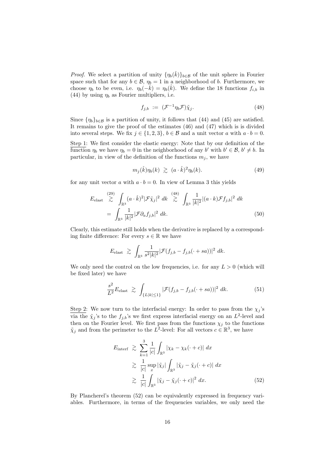*Proof.* We select a partition of unity  $\{\eta_b(\hat{k})\}_{b\in\mathcal{B}}$  of the unit sphere in Fourier space such that for any  $b \in \mathcal{B}$ ,  $\eta_b = 1$  in a neighborhood of b. Furthermore, we choose  $\eta_b$  to be even, i.e.  $\eta_b(-\hat{k}) = \eta_b(\hat{k})$ . We define the 18 functions  $f_{i,b}$  in [\(44\)](#page-16-4) by using  $\eta_b$  as Fourier multipliers, i.e.

<span id="page-17-0"></span>
$$
f_{j,b} := (\mathcal{F}^{-1}\eta_b \mathcal{F})\tilde{\chi}_j.
$$
\n(48)

Since  $\{\eta_b\}_{b\in\mathcal{B}}$  is a partition of unity, it follows that [\(44\)](#page-16-4) and [\(45\)](#page-16-5) are satisfied. It remains to give the proof of the estimates [\(46\)](#page-16-6) and [\(47\)](#page-16-7) which is is divided into several steps. We fix  $j \in \{1, 2, 3\}$ ,  $b \in \mathcal{B}$  and a unit vector a with  $a \cdot b = 0$ .

Step 1: We first consider the elastic energy: Note that by our definition of the function  $\eta_b$  we have  $\eta_b = 0$  in the neighborhood of any b' with  $b' \in \mathcal{B}, b' \neq b$ . In particular, in view of the definition of the functions  $m_j$ , we have

<span id="page-17-3"></span>
$$
m_j(\hat{k})\eta_b(k) \ \gtrsim \ (a \cdot \hat{k})^2 \eta_b(k). \tag{49}
$$

for any unit vector a with  $a \cdot b = 0$ . In view of Lemma [3](#page-19-0) this yields

$$
E_{\text{elast}} \stackrel{(29)}{\gtrsim} \int_{\mathbb{R}^3} (a \cdot \hat{k})^2 |\mathcal{F} \tilde{\chi}_j|^2 dk \stackrel{(48)}{\gtrsim} \int_{\mathbb{R}^3} \frac{1}{|k|^2} |(a \cdot k) \mathcal{F} f_{j,b}|^2 dk
$$
  
= 
$$
\int_{\mathbb{R}^3} \frac{1}{|k|^2} |\mathcal{F} \partial_a f_{j,b}|^2 dk.
$$
 (50)

Clearly, this estimate still holds when the derivative is replaced by a corresponding finite difference: For every  $s \in \mathbb{R}$  we have

$$
E_{\text{elast}} \ \gtrsim \ \int_{\mathbb{R}^3} \frac{1}{s^2 |k|^2} |\mathcal{F}(f_{j,b} - f_{j,b}(\cdot + sa))|^2 \ dk.
$$

We only need the control on the low frequencies, i.e. for any  $L > 0$  (which will be fixed later) we have

<span id="page-17-2"></span>
$$
\frac{s^2}{L^2} E_{\text{elast}} \gtrsim \int_{\{L|k|\leq 1\}} |\mathcal{F}(f_{j,b} - f_{j,b}(\cdot + sa))|^2 \, dk. \tag{51}
$$

Step 2: We now turn to the interfacial energy: In order to pass from the  $\chi_j$ 's via the  $\tilde{\chi}_j$ 's to the  $f_{j,b}$ 's we first express interfacial energy on an  $L^2$ -level and then on the Fourier level. We first pass from the functions  $\chi_j$  to the functions  $\tilde{\chi}_j$  and from the perimeter to the  $L^2$ -level: For all vectors  $c \in \mathbb{R}^3$ , we have

<span id="page-17-1"></span>
$$
E_{\text{interf}} \geq \sum_{k=1}^{3} \frac{1}{|c|} \int_{\mathbb{R}^3} |\chi_k - \chi_k(\cdot + c)| dx
$$
  
\n
$$
\geq \frac{1}{|c|} \sup_x |\tilde{\chi}_j| \int_{\mathbb{R}^3} |\tilde{\chi}_j - \tilde{\chi}_j(\cdot + c)| dx
$$
  
\n
$$
\geq \frac{1}{|c|} \int_{\mathbb{R}^3} |\tilde{\chi}_j - \tilde{\chi}_j(\cdot + c)|^2 dx.
$$
 (52)

By Plancherel's theorem [\(52\)](#page-17-1) can be equivalently expressed in frequency variables. Furthermore, in terms of the frequencies variables, we only need the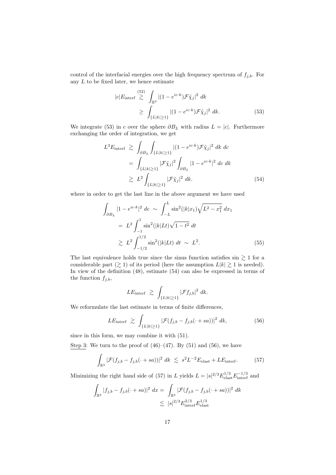control of the interfacial energies over the high frequency spectrum of  $f_{j,b}$ . For any  $L$  to be fixed later, we hence estimate

<span id="page-18-0"></span>
$$
|c|E_{\text{interf}} \stackrel{(52)}{\gtrsim} \int_{\mathbb{R}^3} |(1 - e^{ic \cdot k}) \mathcal{F} \tilde{\chi}_j|^2 \, dk
$$
  
 
$$
\geq \int_{\{L|k|\geq 1\}} |(1 - e^{ic \cdot k}) \mathcal{F} \tilde{\chi}_j|^2 \, dk. \tag{53}
$$

We integrate [\(53\)](#page-18-0) in c over the sphere  $\partial B_L$  with radius  $L = |c|$ . Furthermore exchanging the order of integration, we get

<span id="page-18-1"></span>
$$
L^3 E_{\text{interf}} \gtrsim \int_{\partial B_L} \int_{\{L|k|\geq 1\}} |(1 - e^{ic \cdot k}) \mathcal{F} \tilde{\chi}_j|^2 \, dk \, dc
$$
  
= 
$$
\int_{\{L|k|\geq 1\}} |\mathcal{F} \tilde{\chi}_j|^2 \int_{\partial B_L} |1 - e^{ic \cdot k}|^2 \, dc \, dk
$$
  

$$
\gtrsim L^2 \int_{\{L|k|\geq 1\}} |\mathcal{F} \tilde{\chi}_j|^2 \, dk. \qquad (54)
$$

where in order to get the last line in the above argument we have used

$$
\int_{\partial B_L} |1 - e^{ic \cdot k}|^2 \, dc \sim \int_{-L}^{L} \sin^2(|k|x_1) \sqrt{L^2 - x_1^2} \, dx_1
$$
\n
$$
= L^2 \int_{-1}^{1} \sin^2(|k|Lt) \sqrt{1 - t^2} \, dt
$$
\n
$$
\geq L^2 \int_{-1/2}^{1/2} \sin^2(|k|Lt) \, dt \sim L^2.
$$
\n(55)

The last equivalence holds true since the sinus function satisfies  $\sin \geq 1$  for a considerable part  $(\gtrsim 1)$  of its period (here the assumption  $L|k| \gtrsim 1$  is needed). In view of the definition [\(48\)](#page-17-0), estimate [\(54\)](#page-18-1) can also be expressed in terms of the function  $f_{j,b}$ ,

<span id="page-18-3"></span><span id="page-18-2"></span>
$$
LE_{\text{interf}} \ \gtrsim \ \int_{\{L|k|\geq 1\}} |\mathcal{F}f_{j,b}|^2 \ dk.
$$

We reformulate the last estimate in terms of finite differences,

$$
LE_{\text{interf}} \ \gtrsim \ \int_{\{L|k|\geq 1\}} |\mathcal{F}(f_{j,b} - f_{j,b}(\cdot + sa))|^2 \ dk, \tag{56}
$$

since in this form, we may combine it with [\(51\)](#page-17-2).

Step 3: We turn to the proof of  $(46)–(47)$  $(46)–(47)$  $(46)–(47)$ . By  $(51)$  and  $(56)$ , we have

$$
\int_{\mathbb{R}^3} |\mathcal{F}(f_{j,b} - f_{j,b}(\cdot + sa))|^2 \, dk \lesssim s^2 L^{-2} E_{\text{elast}} + L E_{\text{interf}}.
$$
 (57)

Minimizing the right hand side of [\(57\)](#page-18-3) in L yields  $L = |s|^{2/3} E_{\text{elast}}^{1/3} E_{\text{interf}}^{-1/3}$  and

$$
\int_{\mathbb{R}^3} |f_{j,b} - f_{j,b}(\cdot + sa)|^2 dx = \int_{\mathbb{R}^3} |\mathcal{F}(f_{j,b} - f_{j,b}(\cdot + sa))|^2 dk
$$
  

$$
\lesssim |s|^{2/3} E_{\text{interf}}^{2/3} E_{\text{last}}^{1/3}
$$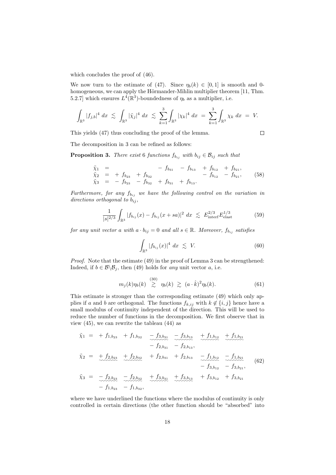which concludes the proof of [\(46\)](#page-16-6).

We now turn to the estimate of [\(47\)](#page-16-7). Since  $\eta_b(k) \in [0,1]$  is smooth and 0-homogeneous, we can apply the Hörmander-Mihlin multiplier theorem [\[11,](#page-34-16) Thm. 5.2.7] which ensures  $L^4(\mathbb{R}^3)$ -boundedness of  $\eta_b$  as a multiplier, i.e.

$$
\int_{\mathbb{R}^3} |f_{j,b}|^4 \ dx \ \lesssim \ \int_{\mathbb{R}^3} |\tilde{\chi}_j|^4 \ dx \ \lesssim \ \sum_{k=1}^3 \int_{\mathbb{R}^3} |\chi_k|^4 \ dx \ = \ \sum_{k=1}^3 \int_{\mathbb{R}^3} \chi_k \ dx \ = \ V.
$$

This yields [\(47\)](#page-16-7) thus concluding the proof of the lemma.

<span id="page-19-5"></span><span id="page-19-4"></span><span id="page-19-3"></span> $\Box$ 

<span id="page-19-0"></span>The decomposition in [3](#page-16-3) can be refined as follows:

**Proposition 3.** There exist 6 functions  $f_{b_{ij}}$  with  $b_{ij} \in \mathcal{B}_{ij}$  such that

$$
\begin{array}{rcl}\n\tilde{\chi}_1 &=& -f_{b_{31}} - f_{b_{13}} + f_{b_{12}} + f_{b_{21}},\\
\tilde{\chi}_2 &=& +f_{b_{23}} + f_{b_{32}} - f_{b_{31}} - f_{b_{12}} - f_{b_{21}},\\
\tilde{\chi}_3 &=& -f_{b_{23}} - f_{b_{32}} + f_{b_{31}} + f_{b_{13}}.\n\end{array} \tag{58}
$$

Furthermore, for any  $f_{b_{ij}}$  we have the following control on the variation in directions orthogonal to  $b_{ij}$ ,

$$
\frac{1}{|s|^{2/3}} \int_{\mathbb{R}^3} |f_{b_{ij}}(x) - f_{b_{ij}}(x + sa)|^2 dx \lesssim E_{\text{interf}}^{2/3} E_{\text{elast}}^{1/3}
$$
(59)

for any unit vector a with  $a \cdot b_{ij} = 0$  and all  $s \in \mathbb{R}$ . Moreover,  $f_{b_{ij}}$  satisfies

<span id="page-19-2"></span>
$$
\int_{\mathbb{R}^3} |f_{b_{ij}}(x)|^4 \ dx \ \lesssim \ V. \tag{60}
$$

Proof. Note that the estimate [\(49\)](#page-17-3) in the proof of Lemma [3](#page-16-3) can be strengthened: Indeed, if  $b \in \mathcal{B} \backslash \mathcal{B}_j$ , then [\(49\)](#page-17-3) holds for any unit vector a, i.e.

$$
m_j(k)\eta_b(k) \stackrel{(30)}{\gtrsim} \eta_b(k) \gtrsim (a \cdot \hat{k})^2 \eta_b(k). \tag{61}
$$

This estimate is stronger than the corresponding estimate [\(49\)](#page-17-3) which only applies if a and b are orthogonal. The functions  $f_{k,ij}$  with  $k \notin \{i, j\}$  hence have a small modulus of continuity independent of the direction. This will be used to reduce the number of functions in the decomposition. We first observe that in view [\(45\)](#page-16-5), we can rewrite the tableau [\(44\)](#page-16-4) as

<span id="page-19-1"></span>
$$
\tilde{\chi}_1 = + f_{1,b_{23}} + f_{1,b_{32}} - f_{3,b_{31}} - f_{3,b_{13}} + f_{1,b_{12}} + f_{1,b_{21}} \n- f_{2,b_{31}} - f_{2,b_{13}},
$$
\n
$$
\tilde{\chi}_2 = + f_{2,b_{23}} + f_{2,b_{32}} + f_{2,b_{31}} + f_{2,b_{13}} - f_{1,b_{12}} - f_{1,b_{21}} \n- f_{3,b_{12}} - f_{3,b_{21}},
$$
\n
$$
\tilde{\chi}_3 = -f_{2,b_{23}} - f_{2,b_{32}} + f_{3,b_{31}} + f_{3,b_{13}} + f_{3,b_{12}} + f_{3,b_{21}} \n- f_{1,b_{23}} - f_{1,b_{23}},
$$
\n(62)

where we have underlined the functions where the modulus of continuity is only controlled in certain directions (the other function should be "absorbed" into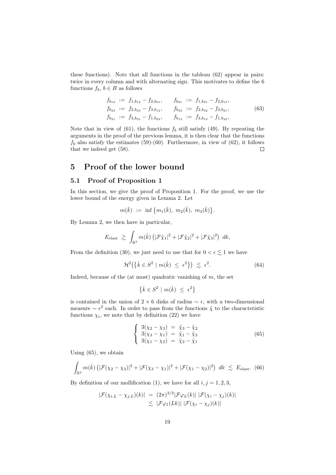these functions). Note that all functions in the tableau [\(62\)](#page-19-1) appear in pairs: twice in every column and with alternating sign. This motivates to define the 6 functions  $f_b, b \in B$  as follows

$$
f_{b_{12}} := f_{1,b_{12}} - f_{2,b_{31}}, \t f_{b_{21}} := f_{1,b_{21}} - f_{2,b_{13}},
$$
  
\n
$$
f_{b_{23}} := f_{2,b_{23}} - f_{3,b_{12}}, \t f_{b_{32}} := f_{2,b_{32}} - f_{3,b_{21}},
$$
  
\n
$$
f_{b_{31}} := f_{3,b_{31}} - f_{1,b_{23}}, \t f_{b_{13}} := f_{3,b_{13}} - f_{1,b_{32}},
$$
\n(63)

Note that in view of [\(61\)](#page-19-2), the functions  $f<sub>b</sub>$  still satisfy [\(49\)](#page-17-3). By repeating the arguments in the proof of the previous lemma, it is then clear that the functions  $f_b$  also satisfy the estimates [\(59\)](#page-19-3)-[\(60\)](#page-19-4). Furthermore, in view of [\(62\)](#page-19-1), it follows that we indeed get [\(58\)](#page-19-5).  $\Box$ 

## <span id="page-20-0"></span>5 Proof of the lower bound

## <span id="page-20-1"></span>5.1 Proof of Proposition [1](#page-11-1)

In this section, we give the proof of Proposition [1.](#page-11-1) For the proof, we use the lower bound of the energy given in Lemma [2.](#page-14-5) Let

$$
m(\hat{k}) \ := \ \inf \big\{ m_1(\hat{k}), \ m_2(\hat{k}), \ m_3(\hat{k}) \big\}.
$$

By Lemma [2,](#page-14-5) we then have in particular,

$$
E_{\rm elast} \ \gtrsim \ \int_{\mathbb{R}^3} m(\hat{k}) \left( |\mathcal{F} \tilde{\chi}_1|^2 + |\mathcal{F} \tilde{\chi}_2|^2 + |\mathcal{F} \tilde{\chi}_3|^2 \right) \ dk,
$$

From the definition [\(30\)](#page-14-1), we just need to use that for  $0 < \epsilon \leq 1$  we have

$$
\mathcal{H}^2(\{\hat{k}\in S^2\mid m(\hat{k})\leq\epsilon^2\})\ \lesssim\ \epsilon^2. \tag{64}
$$

Indeed, because of the (at most) quadratic vanishing of  $m$ , the set

<span id="page-20-4"></span>
$$
\left\{\hat{k}\in S^2\ |\ m(\hat{k})\ \leq\ \epsilon^2\right\}
$$

is contained in the union of 2 × 6 disks of radius  $\sim \epsilon$ , with a two-dimensional measure  $\sim \epsilon^2$  each. In order to pass from the functions  $\tilde{\chi}$  to the characteristic functions  $\chi_i$ , we note that by definition [\(22\)](#page-13-0) we have

<span id="page-20-3"></span><span id="page-20-2"></span>
$$
\begin{cases}\n3(\chi_2 - \chi_3) = \tilde{\chi}_3 - \tilde{\chi}_2 \\
3(\chi_3 - \chi_1) = \tilde{\chi}_1 - \tilde{\chi}_3 \\
3(\chi_1 - \chi_2) = \tilde{\chi}_2 - \tilde{\chi}_1\n\end{cases}
$$
\n(65)

Using [\(65\)](#page-20-2), we obtain

$$
\int_{\mathbb{R}^3} m(\hat{k}) \left( |\mathcal{F}(\chi_2 - \chi_3)|^2 + |\mathcal{F}(\chi_3 - \chi_1)|^2 + |\mathcal{F}(\chi_1 - \chi_2)|^2 \right) dk \lesssim E_{\text{elast}}. (66)
$$

By definition of our mollification [\(1\)](#page-11-4), we have for all  $i, j = 1, 2, 3$ ,

$$
|\mathcal{F}(\chi_{i,L} - \chi_{j,L})(k)| = (2\pi)^{3/2} |\mathcal{F}\varphi_L(k)| |\mathcal{F}(\chi_i - \chi_j)(k)|
$$
  
\$\leq\$  $|\mathcal{F}\varphi_1(Lk)| |\mathcal{F}(\chi_i - \chi_j)(k)|$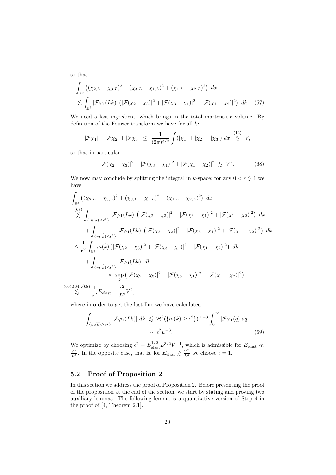so that

$$
\int_{\mathbb{R}^3} \left( (\chi_{2,L} - \chi_{3,L})^2 + (\chi_{3,L} - \chi_{1,L})^2 + (\chi_{1,L} - \chi_{2,L})^2 \right) dx
$$
  
 
$$
\lesssim \int_{\mathbb{R}^3} |\mathcal{F}\varphi_1(Lk)| \left( |\mathcal{F}(\chi_2 - \chi_3)|^2 + |\mathcal{F}(\chi_3 - \chi_1)|^2 + |\mathcal{F}(\chi_1 - \chi_2)|^2 \right) dk. (67)
$$

We need a last ingredient, which brings in the total martensitic volume: By definition of the Fourier transform we have for all  $k$ :

$$
|\mathcal{F}\chi_1| + |\mathcal{F}\chi_2| + |\mathcal{F}\chi_3| \le \frac{1}{(2\pi)^{3/2}} \int (|\chi_1| + |\chi_2| + |\chi_3|) dx \stackrel{(12)}{\lesssim} V,
$$

so that in particular

<span id="page-21-2"></span><span id="page-21-1"></span>
$$
|\mathcal{F}(\chi_2 - \chi_3)|^2 + |\mathcal{F}(\chi_3 - \chi_1)|^2 + |\mathcal{F}(\chi_1 - \chi_2)|^2 \lesssim V^2.
$$
 (68)

We now may conclude by splitting the integral in k-space; for any  $0 < \epsilon \lesssim 1$  we have

$$
\int_{\mathbb{R}^{3}} ((\chi_{2,L} - \chi_{3,L})^{2} + (\chi_{3,L} - \chi_{1,L})^{2} + (\chi_{1,L} - \chi_{2,L})^{2}) dx
$$
\n
$$
\stackrel{(67)}{\lesssim} \int_{\{m(\hat{k}) \geq \epsilon^{2}\}} |\mathcal{F}\varphi_{1}(Lk)| (|\mathcal{F}(\chi_{2} - \chi_{3})|^{2} + |\mathcal{F}(\chi_{3} - \chi_{1})|^{2} + |\mathcal{F}(\chi_{1} - \chi_{2})|^{2}) dk
$$
\n
$$
+ \int_{\{m(\hat{k}) \leq \epsilon^{2}\}} |\mathcal{F}\varphi_{1}(Lk)| (|\mathcal{F}(\chi_{2} - \chi_{3})|^{2} + |\mathcal{F}(\chi_{3} - \chi_{1})|^{2} + |\mathcal{F}(\chi_{1} - \chi_{2})|^{2}) dk
$$
\n
$$
\leq \frac{1}{\epsilon^{2}} \int_{\mathbb{R}^{3}} m(\hat{k}) (|\mathcal{F}(\chi_{2} - \chi_{3})|^{2} + |\mathcal{F}(\chi_{3} - \chi_{1})|^{2} + |\mathcal{F}(\chi_{1} - \chi_{2})|^{2}) dk
$$
\n
$$
+ \int_{\{m(\hat{k}) \leq \epsilon^{2}\}} |\mathcal{F}\varphi_{1}(Lk)| dk
$$
\n
$$
\times \sup_{k} (|\mathcal{F}(\chi_{2} - \chi_{3})|^{2} + |\mathcal{F}(\chi_{3} - \chi_{1})|^{2} + |\mathcal{F}(\chi_{1} - \chi_{2})|^{2})
$$
\n
$$
\stackrel{(64)}{\lesssim} \frac{1}{\epsilon^{2}} E_{\text{elast}} + \frac{\epsilon^{2}}{L^{3}} V^{2},
$$

 $(66)$  $\gtrsim$ 

where in order to get the last line we have calculated

$$
\int_{\{m(\hat{k}) \ge \epsilon^2\}} |\mathcal{F}\varphi_1(Lk)| \, dk \lesssim \mathcal{H}^2(\{m(\hat{k}) \ge \epsilon^2\}) L^{-3} \int_0^\infty |\mathcal{F}\varphi_1(q)| dq
$$
\n
$$
\sim \epsilon^2 L^{-3}.
$$
\n(69)

We optimize by choosing  $\epsilon^2 = E_{\text{elast}}^{1/2} L^{3/2} V^{-1}$ , which is admissible for  $E_{\text{elast}} \ll$  $\frac{V^2}{L^3}$ . In the opposite case, that is, for  $E_{\text{elast}} \gtrsim \frac{V^2}{L^3}$  we choose  $\epsilon = 1$ .

## <span id="page-21-0"></span>5.2 Proof of Proposition [2](#page-12-2)

<span id="page-21-3"></span>In this section we address the proof of Proposition [2.](#page-12-2) Before presenting the proof of the proposition at the end of the section, we start by stating and proving two auxiliary lemmas. The following lemma is a quantitative version of Step 4 in the proof of [\[4,](#page-34-5) Theorem 2.1].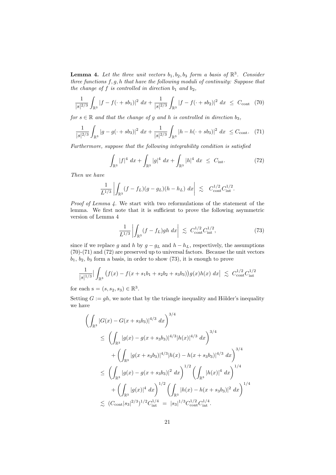**Lemma 4.** Let the three unit vectors  $b_1, b_2, b_3$  form a basis of  $\mathbb{R}^3$ . Consider three functions  $f, g, h$  that have the following moduli of continuity: Suppose that the change of  $f$  is controlled in direction  $b_1$  and  $b_2$ ,

$$
\frac{1}{|s|^{2/3}} \int_{\mathbb{R}^3} |f - f(\cdot + sb_1)|^2 \, dx + \frac{1}{|s|^{2/3}} \int_{\mathbb{R}^3} |f - f(\cdot + sb_2)|^2 \, dx \le C_{\text{cont}} \tag{70}
$$

for  $s \in \mathbb{R}$  and that the change of g and h is controlled in direction  $b_3$ ,

$$
\frac{1}{|s|^{2/3}} \int_{\mathbb{R}^3} |g - g(\cdot + sb_3)|^2 \, dx + \frac{1}{|s|^{2/3}} \int_{\mathbb{R}^3} |h - h(\cdot + sb_3)|^2 \, dx \le C_{\text{cont}}.\tag{71}
$$

Furthermore, suppose that the following integrability condition is satisfied

<span id="page-22-2"></span><span id="page-22-1"></span><span id="page-22-0"></span>
$$
\int_{\mathbb{R}^3} |f|^4 \ dx + \int_{\mathbb{R}^3} |g|^4 \ dx + \int_{\mathbb{R}^3} |h|^4 \ dx \leq C_{\text{int}}.\tag{72}
$$

Then we have

$$
\frac{1}{L^{1/3}} \left| \int_{\mathbb{R}^3} (f - f_L)(g - g_L)(h - h_L) \, dx \right| \lesssim C_{\text{cont}}^{1/2} C_{\text{int}}^{1/2}.
$$

Proof of Lemma [4.](#page-21-3) We start with two reformulations of the statement of the lemma. We first note that it is sufficient to prove the following asymmetric version of Lemma [4](#page-21-3)

<span id="page-22-3"></span>
$$
\frac{1}{L^{1/3}} \left| \int_{\mathbb{R}^3} (f - f_L) gh \, dx \right| \, \lesssim \, C_{\text{cont}}^{1/2} C_{\text{int}}^{1/2}, \tag{73}
$$

since if we replace g and h by  $g - g_L$  and  $h - h_L$ , respectively, the assumptions [\(70\)](#page-22-0)-[\(71\)](#page-22-1) and [\(72\)](#page-22-2) are preserved up to universal factors. Because the unit vectors  $b_1, b_2, b_3$  form a basis, in order to show [\(73\)](#page-22-3), it is enough to prove

$$
\frac{1}{|s|^{1/3}} \Big| \int_{\mathbb{R}^3} \big( f(x) - f(x + s_1 b_1 + s_2 b_2 + s_3 b_3) \big) g(x) h(x) \, dx \Big| \lesssim C_{\text{cont}}^{1/2} C_{\text{int}}^{1/2}
$$

for each  $s = (s, s_2, s_3) \in \mathbb{R}^3$ .

Setting  $G := gh$ , we note that by the triangle inequality and Hölder's inequality we have

$$
\left(\int_{\mathbb{R}^3} |G(x) - G(x + s_3b_3)|^{4/3} dx\right)^{3/4}
$$
\n
$$
\leq \left(\int_{\mathbb{R}^3} |g(x) - g(x + s_3b_3)|^{4/3} |h(x)|^{4/3} dx\right)^{3/4}
$$
\n
$$
+ \left(\int_{\mathbb{R}^3} |g(x + s_3b_3)|^{4/3} |h(x) - h(x + s_3b_3)|^{4/3} dx\right)^{3/4}
$$
\n
$$
\leq \left(\int_{\mathbb{R}^3} |g(x) - g(x + s_3b_3)|^2 dx\right)^{1/2} \left(\int_{\mathbb{R}^3} |h(x)|^4 dx\right)^{1/4}
$$
\n
$$
+ \left(\int_{\mathbb{R}^3} |g(x)|^4 dx\right)^{1/2} \left(\int_{\mathbb{R}^3} |h(x) - h(x + s_3b_3)|^2 dx\right)^{1/4}
$$
\n
$$
\lesssim (C_{\text{cont}}|s_3|^{2/3})^{1/2} C_{\text{int}}^{1/4} = |s_3|^{1/3} C_{\text{cont}}^{1/2} C_{\text{int}}^{1/4}.
$$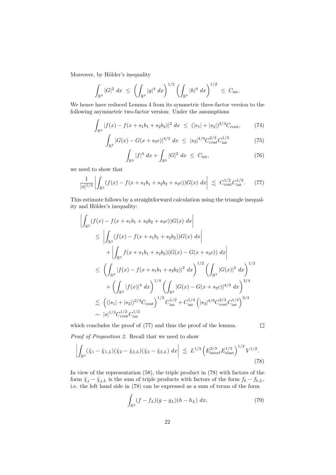Moreover, by Hölder's inequality

$$
\int_{\mathbb{R}^3} |G|^2 \ dx \ \le \ \left( \int_{\mathbb{R}^3} |g|^4 \ dx \right)^{1/2} \left( \int_{\mathbb{R}^3} |h|^4 \ dx \right)^{1/2} \ \le \ C_{\rm int}.
$$

We hence have reduced Lemma [4](#page-21-3) from its symmetric three-factor version to the following asymmetric two-factor version: Under the assumptions

$$
\int_{\mathbb{R}^3} |f(x) - f(x + s_1 b_1 + s_2 b_2)|^2 dx \le (|s_1| + |s_2|)^{2/3} C_{\text{cont}},
$$
 (74)

$$
\int_{\mathbb{R}^3} |G(x) - G(x + s_3 c)|^{4/3} dx \le |s_3|^{4/9} C_{\text{cont}}^{2/3} C_{\text{int}}^{1/3}
$$
 (75)

<span id="page-23-0"></span>
$$
\int_{\mathbb{R}^3} |f|^4 \, dx + \int_{\mathbb{R}^3} |G|^2 \, dx \le C_{\rm int},\tag{76}
$$

we need to show that

 $\ddot{\phantom{0}}$ 

$$
\frac{1}{|s|^{1/3}} \left| \int_{\mathbb{R}^3} (f(x) - f(x + s_1 b_1 + s_2 b_2 + s_3 c)) G(x) \, dx \right| \lesssim C_{\text{cont}}^{1/2} C_{\text{int}}^{1/2}.
$$
 (77)

This estimate follows by a straightforward calculation using the triangle inequality and Hölder's inequality:

$$
\left| \int_{\mathbb{R}^3} (f(x) - f(x + s_1b_1 + s_2b_2 + s_3c))G(x) dx \right|
$$
  
\n
$$
\leq \left| \int_{\mathbb{R}^3} (f(x) - f(x + s_1b_1 + s_2b_2))G(x) dx \right|
$$
  
\n
$$
+ \left| \int_{\mathbb{R}^3} f(x + s_1b_1 + s_2b_2)(G(x) - G(x + s_3c)) dx \right|
$$
  
\n
$$
\leq \left( \int_{\mathbb{R}^3} |f(x) - f(x + s_1b_1 + s_2b_2)|^2 dx \right)^{1/2} \left( \int_{\mathbb{R}^3} |G(x)|^2 dx \right)^{1/2}
$$
  
\n
$$
+ \left( \int_{\mathbb{R}^3} |f(x)|^4 dx \right)^{1/4} \left( \int_{\mathbb{R}^3} |G(x) - G(x + s_3c)|^{4/3} dx \right)^{3/4}
$$
  
\n
$$
\lesssim \left( (|s_1| + |s_2|)^{2/3} C_{\text{cont}} \right)^{1/2} C_{\text{int}}^{1/2} + C_{\text{int}}^{1/4} \left( |s_3|^{4/9} C_{\text{cont}}^{2/3} C_{\text{int}}^{1/3} \right)^{3/4}
$$
  
\n
$$
\sim |s|^{1/3} C_{\text{cont}}^{1/2} C_{\text{int}}^{1/2}
$$

which concludes the proof of [\(77\)](#page-23-0) and thus the proof of the lemma.

<span id="page-23-2"></span><span id="page-23-1"></span>
$$
\qquad \qquad \Box
$$

Proof of Proposition [2.](#page-12-2) Recall that we need to show

$$
\left| \int_{\mathbb{R}^3} (\tilde{\chi}_1 - \tilde{\chi}_{1,L}) (\tilde{\chi}_2 - \tilde{\chi}_{2,L}) (\tilde{\chi}_3 - \tilde{\chi}_{3,L}) \, dx \right| \, \lesssim \, L^{1/3} \left( E_{\text{interf}}^{2/3} E_{\text{elast}}^{1/3} \right)^{1/2} V^{1/2}.
$$
\n(78)

In view of the representation [\(58\)](#page-19-5), the triple product in [\(78\)](#page-23-1) with factors of the form  $\tilde{\chi}_j - \tilde{\chi}_{j,L}$  is the sum of triple products with factors of the form  $f_b - f_{b,L}$ , i.e. the left hand side in [\(78\)](#page-23-1) can be expressed as a sum of terms of the form

$$
\int_{\mathbb{R}^3} (f - f_L)(g - g_L)(h - h_L) \, dx,\tag{79}
$$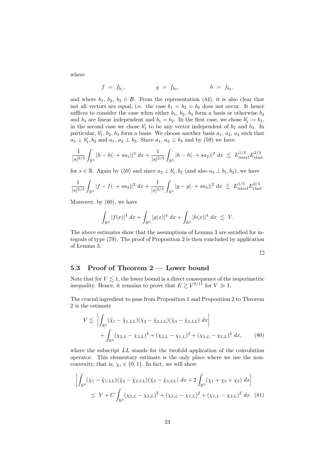where

$$
f = f_{b_1},
$$
  $g = f_{b_2},$   $h = f_{b_3}.$ 

and where  $b_1, b_2, b_3 \in \mathcal{B}$ . From the representation [\(44\)](#page-16-4), it is also clear that not all vectors are equal, i.e. the case  $b_1 = b_2 = b_3$  does not occur. It hence suffices to consider the case when either  $b_1$ ,  $b_2$ ,  $b_3$  form a basis or otherwise  $b_2$ and  $b_3$  are linear independent and  $b_1 = b_2$ . In the first case, we chose  $b'_1 := b_1$ , in the second case we chose  $b'_1$  to be any vector independent of  $b_2$  and  $b_3$ . In particular,  $b'_1$ ,  $b_2$ ,  $b_3$  form a basis. We choose another basis  $a_1$ ,  $a_2$ ,  $a_3$  such that  $a_3 \perp b'_1$ ,  $b_2$  and  $a_1$ ,  $a_2 \perp b_3$ . Since  $a_1$ ,  $a_2 \perp b_3$  and by [\(59\)](#page-19-3) we have

$$
\frac{1}{|s|^{2/3}} \int_{\mathbb{R}^3} |h - h(\cdot + s a_1)|^2 \, dx + \frac{1}{|s|^{2/3}} \int_{\mathbb{R}^3} |h - h(\cdot + s a_2)|^2 \, dx \lesssim E_{\text{interf}}^{1/3} E_{\text{elast}}^{2/3}
$$

for  $s \in \mathbb{R}$ . Again by [\(59\)](#page-19-3) and since  $a_3 \perp b'_1$ ,  $b_2$  (and also  $a_3 \perp b_1$ ,  $b_2$ ), we have

$$
\frac{1}{|s|^{2/3}} \int_{\mathbb{R}^3} |f - f(\cdot + s a_3)|^2 \ dx + \frac{1}{|s|^{2/3}} \int_{\mathbb{R}^3} |g - g(\cdot + s a_3)|^2 \ dx \lesssim E_{\text{interf}}^{1/3} E_{\text{elast}}^{2/3}.
$$

Moreover, by [\(60\)](#page-19-4), we have

$$
\int_{\mathbb{R}^3} |f(x)|^4 \ dx + \int_{\mathbb{R}^3} |g(x)|^4 \ dx + \int_{\mathbb{R}^3} |h(x)|^4 \ dx \ \lesssim \ V.
$$

The above estimates show that the assumptions of Lemma [3](#page-16-3) are satisfied for integrals of type [\(79\)](#page-23-2). The proof of Proposition [2](#page-12-2) is then concluded by application of Lemma [3.](#page-16-3)

## <span id="page-24-2"></span><span id="page-24-1"></span> $\Box$

#### <span id="page-24-0"></span>5.3 Proof of Theorem [2](#page-11-2) — Lower bound

Note that for  $V \lesssim 1$ , the lower bound is a direct consequence of the isoperimetric inequality. Hence, it remains to prove that  $E \gtrsim V^{9/11}$  for  $V \gg 1$ .

The crucial ingredient to pass from Proposition [1](#page-11-1) and Proposition [2](#page-12-2) to Theorem [2](#page-11-2) is the estimate

$$
V \lesssim \left| \int_{\mathbb{R}^3} (\tilde{\chi}_1 - \tilde{\chi}_{1,LL}) (\tilde{\chi}_2 - \tilde{\chi}_{2,LL}) (\tilde{\chi}_3 - \tilde{\chi}_{3,LL}) \, dx \right|
$$
  
+ 
$$
\int_{\mathbb{R}^3} (\chi_{2,L} - \chi_{3,L})^2 + (\chi_{3,L} - \chi_{1,L})^2 + (\chi_{1,L} - \chi_{2,L})^2 \, dx,
$$
 (80)

where the subscript LL stands for the twofold application of the convolution operator. This elementary estimate is the only place where we use the nonconvexity, that is,  $\chi_i \in \{0, 1\}$ . In fact, we will show

$$
\left| \int_{\mathbb{R}^3} (\tilde{\chi}_1 - \tilde{\chi}_{1,LL}) (\tilde{\chi}_2 - \tilde{\chi}_{2,LL}) (\tilde{\chi}_3 - \tilde{\chi}_{3,LL}) dx + 2 \int_{\mathbb{R}^3} (\chi_1 + \chi_2 + \chi_3) dx \right|
$$
  
\n
$$
\leq V + C \int_{\mathbb{R}^3} (\chi_{2,L} - \chi_{3,L})^2 + (\chi_{3,L} - \chi_{1,L})^2 + (\chi_{1,L} - \chi_{2,L})^2 dx \quad (81)
$$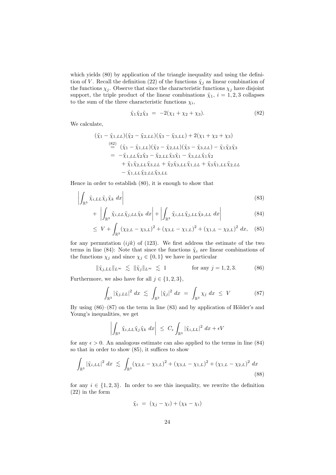which yields  $(80)$  by application of the triangle inequality and using the defini-tion of V. Recall the definition [\(22\)](#page-13-0) of the functions  $\tilde{\chi}_i$  as linear combination of the functions  $\chi_j$ . Observe that since the characteristic functions  $\chi_j$  have disjoint support, the triple product of the linear combinations  $\tilde{\chi}_1$ ,  $i = 1, 2, 3$  collapses to the sum of the three characteristic functions  $\chi_i$ ,

<span id="page-25-4"></span><span id="page-25-1"></span><span id="page-25-0"></span>
$$
\tilde{\chi}_1 \tilde{\chi}_2 \tilde{\chi}_3 = -2(\chi_1 + \chi_2 + \chi_3). \tag{82}
$$

We calculate,

$$
(\tilde{\chi}_1 - \tilde{\chi}_{1,LL})(\tilde{\chi}_2 - \tilde{\chi}_{2,LL})(\tilde{\chi}_3 - \tilde{\chi}_{3,LL}) + 2(\chi_1 + \chi_2 + \chi_3)
$$
  
\n
$$
\stackrel{(82)}{=} (\tilde{\chi}_1 - \tilde{\chi}_{1,LL})(\tilde{\chi}_2 - \tilde{\chi}_{2,LL})(\tilde{\chi}_3 - \tilde{\chi}_{3,LL}) - \tilde{\chi}_1 \tilde{\chi}_2 \tilde{\chi}_3
$$
  
\n
$$
= -\tilde{\chi}_{1,LL}\tilde{\chi}_2 \tilde{\chi}_3 - \tilde{\chi}_{2,LL}\tilde{\chi}_3 \tilde{\chi}_1 - \tilde{\chi}_{3,LL}\tilde{\chi}_1 \tilde{\chi}_2
$$
  
\n
$$
+ \tilde{\chi}_1 \tilde{\chi}_{2,LL}\tilde{\chi}_{3,LL} + \tilde{\chi}_2 \tilde{\chi}_{3,LL}\tilde{\chi}_{1,LL} + \tilde{\chi}_3 \tilde{\chi}_{1,LL}\tilde{\chi}_{2,LL}
$$
  
\n
$$
- \tilde{\chi}_{1,LL}\tilde{\chi}_{2,LL}\tilde{\chi}_{3,LL}
$$

Hence in order to establish [\(80\)](#page-24-1), it is enough to show that

$$
\left| \int_{\mathbb{R}^3} \tilde{\chi}_{i,LL} \tilde{\chi}_j \tilde{\chi}_k \, dx \right| \tag{83}
$$

$$
+ \left| \int_{\mathbb{R}^3} \tilde{\chi}_{i,LL} \tilde{\chi}_{j,LL} \tilde{\chi}_k \, dx \right| + \left| \int_{\mathbb{R}^3} \tilde{\chi}_{i,LL} \tilde{\chi}_{j,LL} \tilde{\chi}_{k,LL} \, dx \right| \tag{84}
$$

<span id="page-25-5"></span>
$$
\leq V + \int_{\mathbb{R}^3} (\chi_{2,L} - \chi_{3,L})^2 + (\chi_{3,L} - \chi_{1,L})^2 + (\chi_{1,L} - \chi_{2,L})^2 dx, \quad (85)
$$

for any permutation  $(ijk)$  of (123). We first address the estimate of the two terms in line [\(84\)](#page-25-1): Note that since the functions  $\tilde{\chi}_i$  are linear combinations of the functions  $\chi_j$  and since  $\chi_j \in \{0,1\}$  we have in particular

$$
\|\tilde{\chi}_{j,LL}\|_{L^{\infty}} \lesssim \|\tilde{\chi}_j\|_{L^{\infty}} \lesssim 1 \quad \text{for any } j = 1, 2, 3. \quad (86)
$$

Furthermore, we also have for all  $j \in \{1, 2, 3\}$ ,

<span id="page-25-2"></span>
$$
\int_{\mathbb{R}^3} |\tilde{\chi}_{j,LL}|^2 dx \lesssim \int_{\mathbb{R}^3} |\tilde{\chi}_j|^2 dx = \int_{\mathbb{R}^3} \chi_j dx \leq V \tag{87}
$$

By using  $(86)–(87)$  $(86)–(87)$  $(86)–(87)$  on the term in line  $(83)$  and by application of Hölder's and Young's inequalities, we get

<span id="page-25-3"></span>
$$
\left| \int_{\mathbb{R}^3} \tilde{\chi}_{i,LL} \tilde{\chi}_j \tilde{\chi}_k \, dx \right| \, \leq \, C_{\epsilon} \int_{\mathbb{R}^3} |\tilde{\chi}_{i,LL}|^2 \, dx + \epsilon V
$$

for any  $\epsilon > 0$ . An analogous estimate can also applied to the terms in line [\(84\)](#page-25-1) so that in order to show [\(85\)](#page-25-5), it suffices to show

$$
\int_{\mathbb{R}^3} |\tilde{\chi}_{i,LL}|^2 \ dx \ \lesssim \ \int_{\mathbb{R}^3} (\chi_{2,L} - \chi_{3,L})^2 + (\chi_{3,L} - \chi_{1,L})^2 + (\chi_{1,L} - \chi_{2,L})^2 \ dx \tag{88}
$$

for any  $i \in \{1, 2, 3\}$ . In order to see this inequality, we rewrite the definition [\(22\)](#page-13-0) in the form

<span id="page-25-6"></span>
$$
\tilde{\chi}_i = (\chi_j - \chi_i) + (\chi_k - \chi_i)
$$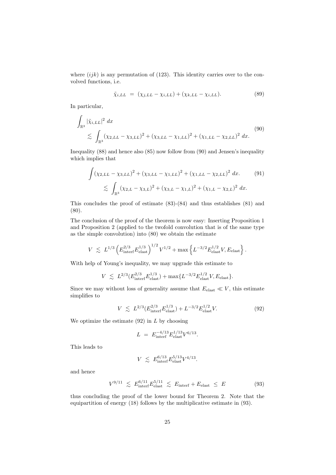where  $(ijk)$  is any permutation of (123). This identity carries over to the convolved functions, i.e.

<span id="page-26-0"></span>
$$
\tilde{\chi}_{i,LL} = (\chi_{j,LL} - \chi_{i,LL}) + (\chi_{k,LL} - \chi_{i,LL}). \tag{89}
$$

In particular,

$$
\int_{\mathbb{R}^3} |\tilde{\chi}_{i,LL}|^2 dx
$$
\n
$$
\lesssim \int_{\mathbb{R}^3} (\chi_{2,LL} - \chi_{3,LL})^2 + (\chi_{3,LL} - \chi_{1,LL})^2 + (\chi_{1,LL} - \chi_{2,LL})^2 dx.
$$
\n(90)

Inequality [\(88\)](#page-25-6) and hence also [\(85\)](#page-25-5) now follow from [\(90\)](#page-26-0) and Jensen's inequality which implies that

$$
\int (\chi_{2,LL} - \chi_{3,LL})^2 + (\chi_{3,LL} - \chi_{1,LL})^2 + (\chi_{1,LL} - \chi_{2,LL})^2 dx.
$$
 (91)  

$$
\lesssim \int_{\mathbb{R}^3} (\chi_{2,L} - \chi_{3,L})^2 + (\chi_{3,L} - \chi_{1,L})^2 + (\chi_{1,L} - \chi_{2,L})^2 dx.
$$

This concludes the proof of estimate [\(83\)](#page-25-4)-[\(84\)](#page-25-1) and thus establishes [\(81\)](#page-24-2) and [\(80\)](#page-24-1).

The conclusion of the proof of the theorem is now easy: Inserting Proposition [1](#page-11-1) and Proposition [2](#page-12-2) (applied to the twofold convolution that is of the same type as the simple convolution) into [\(80\)](#page-24-1) we obtain the estimate

$$
V \leq L^{1/3} \left( E_{\text{interf}}^{2/3} E_{\text{elast}}^{1/3} \right)^{1/2} V^{1/2} + \max \left\{ L^{-3/2} E_{\text{elast}}^{1/2} V, E_{\text{elast}} \right\}.
$$

With help of Young's inequality, we may upgrade this estimate to

$$
V \leq L^{2/3} (E_{\text{inter}}^{2/3} E_{\text{elast}}^{1/3}) + \max \{ L^{-3/2} E_{\text{elast}}^{1/2} V, E_{\text{elast}} \}.
$$

Since we may without loss of generality assume that  $E_{\text{elast}} \ll V$ , this estimate simplifies to

$$
V \lesssim L^{2/3} (E_{\text{inter}}^{2/3} E_{\text{elast}}^{1/3}) + L^{-3/2} E_{\text{elast}}^{1/2} V. \tag{92}
$$

We optimize the estimate  $(92)$  in L by choosing

<span id="page-26-1"></span>
$$
L = E_{\text{interf}}^{-4/13} E_{\text{elast}}^{1/13} V^{6/13}.
$$

This leads to

<span id="page-26-2"></span>
$$
V \leq E_{\text{interf}}^{6/13} E_{\text{elast}}^{5/13} V^{4/13}.
$$

and hence

$$
V^{9/11} \lesssim E_{\text{interf}}^{6/11} E_{\text{elast}}^{5/11} \lesssim E_{\text{interf}} + E_{\text{elast}} \leq E \tag{93}
$$

thus concluding the proof of the lower bound for Theorem [2.](#page-11-2) Note that the equipartition of energy [\(18\)](#page-11-5) follows by the multiplicative estimate in [\(93\)](#page-26-2).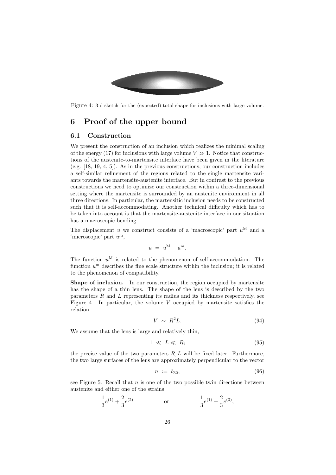

Figure 4: 3-d sketch for the (expected) total shape for inclusions with large volume.

## <span id="page-27-2"></span><span id="page-27-0"></span>6 Proof of the upper bound

#### <span id="page-27-1"></span>6.1 Construction

We present the construction of an inclusion which realizes the minimal scaling of the energy [\(17\)](#page-11-3) for inclusions with large volume  $V \gg 1$ . Notice that constructions of the austenite-to-martensite interface have been given in the literature (e.g. [\[18,](#page-35-5) [19,](#page-35-2) [4,](#page-34-5) [5\]](#page-34-6)). As in the previous constructions, our construction includes a self-similar refinement of the regions related to the single martensite variants towards the martensite-austenite interface. But in contrast to the previous constructions we need to optimize our construction within a three-dimensional setting where the martensite is surrounded by an austenite environment in all three directions. In particular, the martensitic inclusion needs to be constructed such that it is self-accommodating. Another technical difficulty which has to be taken into account is that the martensite-austenite interface in our situation has a macroscopic bending.

The displacement u we construct consists of a 'macroscopic' part  $u^M$  and a 'microscopic' part  $u^{\mathrm{m}}$ ,

$$
u = u^M + u^m.
$$

The function  $u^M$  is related to the phenomenon of self-accommodation. The function  $u^{\mathrm{m}}$  describes the fine scale structure within the inclusion; it is related to the phenomenon of compatibility.

Shape of inclusion. In our construction, the region occupied by martensite has the shape of a thin lens. The shape of the lens is described by the two parameters  $R$  and  $L$  representing its radius and its thickness respectively, see Figure [4.](#page-27-2) In particular, the volume  $V$  occupied by martensite satisfies the relation

<span id="page-27-3"></span>
$$
V \sim R^2 L. \tag{94}
$$

We assume that the lens is large and relatively thin,

$$
1 \ll L \ll R; \tag{95}
$$

the precise value of the two parameters  $R, L$  will be fixed later. Furthermore, the two large surfaces of the lens are approximately perpendicular to the vector

$$
n := b_{32}, \tag{96}
$$

see Figure [5.](#page-28-0) Recall that  $n$  is one of the two possible twin directions between austenite and either one of the strains

$$
\frac{1}{3}e^{(1)} + \frac{2}{3}e^{(2)} \qquad \qquad \text{or} \qquad \qquad \frac{1}{3}e^{(1)} + \frac{2}{3}e^{(3)},
$$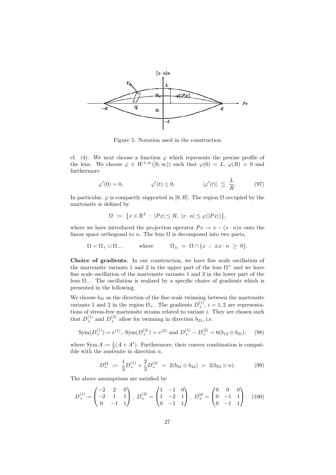

<span id="page-28-0"></span>Figure 5: Notation used in the construction

cf. [\(4\)](#page-7-2). We next choose a function  $\varphi$  which represents the precise profile of the lens. We choose  $\varphi \in W^{1,\infty}([0,\infty))$  such that  $\varphi(0) = L$ ,  $\varphi(R) = 0$  and furthermore

$$
\varphi'(0) = 0, \qquad \qquad \varphi'(t) \le 0, \qquad |\varphi'(t)| \lesssim \frac{L}{R}.
$$
 (97)

In particular,  $\varphi$  is compactly supported in [0, R]. The region  $\Omega$  occupied by the martensite is defined by

$$
\Omega := \{ x \in \mathbb{R}^3 \; : \; |Px| \le R, \; |x \cdot n| \le \varphi(|Px|) \},
$$

where we have introduced the projection operator  $Px := x - (x \cdot n)n$  onto the linear space orthogonal to n. The lens  $\Omega$  is decomposed into two parts,

$$
\Omega = \Omega_+ \cup \Omega_-, \quad \text{where} \quad \Omega_{\pm} = \Omega \cap \{x : \pm x \cdot n \ge 0\}.
$$

Choice of gradients. In our construction, we have fine scale oscillation of the martensite variants 1 and 2 in the upper part of the lens  $\Omega^+$  and we have fine scale oscillation of the martensite variants 1 and 3 in the lower part of the lens  $\Omega$ <sub>-</sub>. The oscillation is realized by a specific choice of gradients which is presented in the following.

We choose  $b_{21}$  as the direction of the fine scale twinning between the martensite variants 1 and 2 in the region  $\Omega_{+}$ . The gradients  $D_{+}^{(i)}$ ,  $i = 1, 2$  are representations of stress-free martensite strains related to variant i. They are chosen such that  $D_+^{(1)}$  and  $D_+^{(2)}$  allow for twinning in direction  $b_{21}$ , i.e.

$$
Sym(D_+^{(1)}) = e^{(1)}, \; Sym(D_+^{(2)}) = e^{(2)} \text{ and } D_+^{(1)} - D_+^{(2)} = 6(b_{12} \otimes b_{21}), \quad (98)
$$

where  $\text{Sym } A := \frac{1}{2}(A + A^t)$ . Furthermore, their convex combination is compatible with the austenite in direction  $n$ ,

<span id="page-28-2"></span><span id="page-28-1"></span>
$$
D_+^{\mathcal{M}} := \frac{1}{3} D_+^{(1)} + \frac{2}{3} D_+^{(2)} = 2(b_{23} \otimes b_{32}) = 2(b_{23} \otimes n). \tag{99}
$$

The above assumptions are satisfied by

$$
D_{+}^{(1)} = \begin{pmatrix} -2 & 2 & 0 \\ -2 & 1 & 1 \\ 0 & -1 & 1 \end{pmatrix}, \ D_{+}^{(2)} = \begin{pmatrix} 1 & -1 & 0 \\ 1 & -2 & 1 \\ 0 & -1 & 1 \end{pmatrix}, \ D_{+}^{M} = \begin{pmatrix} 0 & 0 & 0 \\ 0 & -1 & 1 \\ 0 & -1 & 1 \end{pmatrix}. \ (100)
$$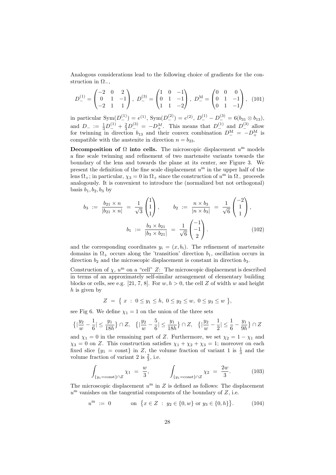Analogous considerations lead to the following choice of gradients for the construction in  $\Omega_-,$ 

$$
D_{-}^{(1)} = \begin{pmatrix} -2 & 0 & 2 \\ 0 & 1 & -1 \\ -2 & 1 & 1 \end{pmatrix}, \ D_{-}^{(3)} = \begin{pmatrix} 1 & 0 & -1 \\ 0 & 1 & -1 \\ 1 & 1 & -2 \end{pmatrix}, \ D_{-}^{M} = \begin{pmatrix} 0 & 0 & 0 \\ 0 & 1 & -1 \\ 0 & 1 & -1 \end{pmatrix}, \ (101)
$$

in particular  $\text{Sym}(D_{-}^{(1)}) = e^{(1)}, \text{ Sym}(D_{-}^{(2)}) = e^{(2)}, D_{-}^{(1)} - D_{-}^{(3)} = 6(b_{31} \otimes b_{13}),$ and  $D_- := \frac{1}{3}D_-^{(1)} + \frac{2}{3}D_-^{(3)} = -D_+^M$ . This means that  $D_-^{(1)}$  and  $D_-^{(3)}$  allow for twinning in direction  $b_{13}$  and their convex combination  $D_{-}^{\text{M}} = -D_{+}^{\text{M}}$  is compatible with the austenite in direction  $n = b_{23}$ .

Decomposition of  $\Omega$  into cells. The microscopic displacement  $u^{\mathrm{m}}$  models a fine scale twinning and refinement of two martensite variants towards the boundary of the lens and towards the plane at its center, see Figure [3.](#page-10-2) We present the definition of the fine scale displacement  $u^{\mathrm{m}}$  in the upper half of the lens  $\Omega_+$ ; in particular,  $\chi_3 = 0$  in  $\Omega_+$  since the construction of  $u^{\mathrm{m}}$  in  $\Omega_-$  proceeds analogously. It is convenient to introduce the (normalized but not orthogonal) basis  $b_1$ ,  $b_2$ ,  $b_3$  by

$$
b_3 := \frac{b_{21} \times n}{|b_{21} \times n|} = \frac{1}{\sqrt{3}} \begin{pmatrix} 1 \\ 1 \\ 1 \end{pmatrix}, \qquad b_2 := \frac{n \times b_3}{|n \times b_3|} = \frac{1}{\sqrt{6}} \begin{pmatrix} -2 \\ 1 \\ 1 \end{pmatrix},
$$

$$
b_1 := \frac{b_3 \times b_{21}}{|b_3 \times b_{21}|} = \frac{1}{\sqrt{6}} \begin{pmatrix} -1 \\ -1 \\ 2 \end{pmatrix}.
$$
(102)

and the corresponding coordinates  $y_i = (x, b_i)$ . The refinement of martensite domains in  $\Omega_+$  occurs along the 'transition' direction  $b_1$ , oscillation occurs in direction  $b_2$  and the microscopic displacement is constant in direction  $b_3$ .

Construction of  $\chi$ ,  $u^{\text{m}}$  on a "cell" Z: The microscopic displacement is described in terms of an approximately self-similar arrangement of elementary building blocks or cells, see e.g. [\[21,](#page-35-4) [7,](#page-34-11) [8\]](#page-34-12). For  $w, h > 0$ , the cell Z of width w and height  $h$  is given by

$$
Z = \{ x : 0 \le y_1 \le h, \ 0 \le y_2 \le w, \ 0 \le y_3 \le w \},
$$

see Fig [6.](#page-33-0) We define  $\chi_1 = 1$  on the union of the three sets

$$
\left\{ |\frac{y_2}{w} - \frac{1}{6}| \le \frac{y_1}{18h} \right\} \cap Z, \quad \left\{ |\frac{y_2}{w} - \frac{5}{6}| \le \frac{y_1}{18h} \right\} \cap Z, \quad \left\{ |\frac{y_2}{w} - \frac{1}{2}| \le \frac{1}{6} - \frac{y_1}{9h} \right\} \cap Z
$$

and  $\chi_1 = 0$  in the remaining part of Z. Furthermore, we set  $\chi_2 = 1 - \chi_1$  and  $\chi_3 = 0$  on Z. This construction satisfies  $\chi_1 + \chi_2 + \chi_3 = 1$ ; moreover on each fixed slice  $\{y_1 = \text{const}\}\$ in Z, the volume fraction of variant 1 is  $\frac{1}{3}$  and the volume fraction of variant 2 is  $\frac{2}{3}$ , i.e.

<span id="page-29-0"></span>
$$
\int_{\{y_1 = \text{const}\}\cap Z} \chi_1 = \frac{w}{3}, \qquad \int_{\{y_1 = \text{const}\}\cap Z} \chi_2 = \frac{2w}{3}.
$$
 (103)

The microscopic displacement  $u^{\mathrm{m}}$  in Z is defined as follows: The displacement  $u^{\rm m}$  vanishes on the tangential components of the boundary of  $Z$ , i.e.

<span id="page-29-1"></span>
$$
u^{\mathbf{m}} := 0 \qquad \text{on } \{x \in Z : y_2 \in \{0, w\} \text{ or } y_3 \in \{0, h\} \}.
$$
 (104)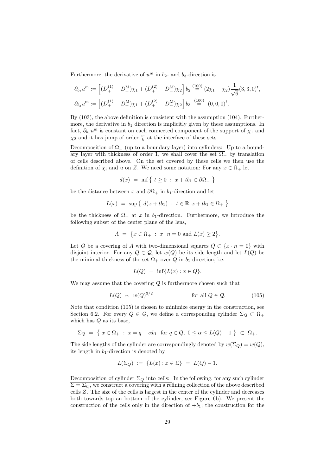Furthermore, the derivative of  $u^{\mathrm{m}}$  in  $b_2$ - and  $b_3$ -direction is

$$
\partial_{b_2} u^{\mathbf{m}} := \left[ (D_+^{(1)} - D_+^{\mathbf{M}}) \chi_1 + (D_+^{(2)} - D_+^{\mathbf{M}}) \chi_2 \right] b_2 \stackrel{(100)}{=} (2\chi_1 - \chi_2) \frac{1}{\sqrt{6}} (3, 3, 0)^t,
$$
  

$$
\partial_{b_3} u^{\mathbf{m}} := \left[ (D_+^{(1)} - D_+^{\mathbf{M}}) \chi_1 + (D_+^{(2)} - D_+^{\mathbf{M}}) \chi_2 \right] b_3 \stackrel{(100)}{=} (0, 0, 0)^t.
$$

By [\(103\)](#page-29-0), the above definition is consistent with the assumption [\(104\)](#page-29-1). Furthermore, the derivative in  $b_1$  direction is implicitly given by these assumptions. In fact,  $\partial_{b_1} u^{\mathbf{m}}$  is constant on each connected component of the support of  $\chi_1$  and  $\chi_2$  and it has jump of order  $\frac{w}{h}$  at the interface of these sets.

Decomposition of  $\Omega_{+}$  (up to a boundary layer) into cylinders: Up to a boundary layer with thickness of order 1, we shall cover the set  $\Omega_{+}$  by translation of cells described above. On the set covered by these cells we then use the definition of  $\chi_i$  and u on Z. We need some notation: For any  $x \in \Omega_+$  let

$$
d(x) = \inf \{ t \ge 0 : x + t b_1 \in \partial \Omega_+ \}
$$

be the distance between x and  $\partial\Omega_+$  in b<sub>1</sub>-direction and let

$$
L(x) = \sup \{ d(x + tb_1) : t \in \mathbb{R}, x + tb_1 \in \Omega_+ \}
$$

be the thickness of  $\Omega_+$  at x in b<sub>1</sub>-direction. Furthermore, we introduce the following subset of the center plane of the lens,

$$
A = \{ x \in \Omega_+ : x \cdot n = 0 \text{ and } L(x) \ge 2 \}.
$$

Let Q be a covering of A with two-dimensional squares  $Q \subset \{x \cdot n = 0\}$  with disjoint interior. For any  $Q \in \mathcal{Q}$ , let  $w(Q)$  be its side length and let  $L(Q)$  be the minimal thickness of the set  $\Omega_+$  over  $Q$  in  $b_1$ -direction, i.e.

<span id="page-30-0"></span>
$$
L(Q) = \inf\{L(x) : x \in Q\}.
$$

We may assume that the covering  $\mathcal{Q}$  is furthermore chosen such that

$$
L(Q) \sim w(Q)^{3/2} \qquad \text{for all } Q \in \mathcal{Q}. \tag{105}
$$

Note that condition [\(105\)](#page-30-0) is chosen to minimize energy in the construction, see Section [6.2.](#page-32-0) For every  $Q \in \mathcal{Q}$ , we define a corresponding cylinder  $\Sigma_Q \subset \Omega_+$ which has  $Q$  as its base,

$$
\Sigma_Q = \{ x \in \Omega_+ : x = q + \alpha b_1 \text{ for } q \in Q, 0 \le \alpha \le L(Q) - 1 \} \subset \Omega_+.
$$

The side lengths of the cylinder are correspondingly denoted by  $w(\Sigma_Q) = w(Q)$ , its length in  $b_1$ -direction is denoted by

$$
L(\Sigma_Q) := \{ L(x) : x \in \Sigma \} = L(Q) - 1.
$$

Decomposition of cylinder  $\Sigma_Q$  into cells: In the following, for any such cylinder  $\overline{\Sigma} = \Sigma_Q$ , we construct a covering with a refining collection of the above described cells Z. The size of the cells is largest in the center of the cylinder and decreases both towards top an bottom of the cylinder, see Figure [6b](#page-33-0)). We present the construction of the cells only in the direction of  $+b_1$ ; the construction for the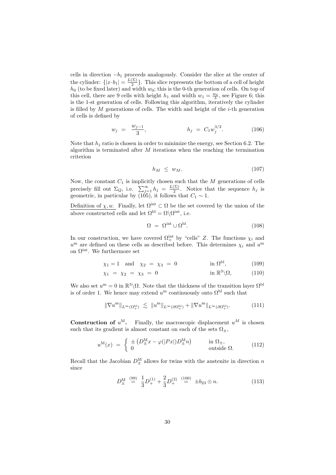cells in direction  $-b_1$  proceeds analogously. Consider the slice at the center of the cylinder:  $\{|x \cdot b_1| = \frac{L(\Sigma)}{2}$  $\frac{2}{2}$ . This slice represents the bottom of a cell of height  $h_0$  (to be fixed later) and width  $w_0$ ; this is the 0-th generation of cells. On top of this cell, there are 9 cells with height  $h_1$  and width  $w_1 = \frac{w_0}{3}$ , see Figure [6;](#page-33-0) this is the 1-st generation of cells. Following this algorithm, iteratively the cylinder is filled by M generations of cells. The width and height of the *i*-th generation of cells is defined by

$$
w_j = \frac{w_{j-1}}{3}, \qquad h_j = C_1 w_j^{3/2}.
$$
 (106)

Note that  $h_j$  ratio is chosen in order to minimize the energy, see Section [6.2.](#page-32-0) The algorithm is terminated after  $M$  iterations when the reaching the termination criterion

<span id="page-31-1"></span><span id="page-31-0"></span>
$$
h_M \leq w_M. \tag{107}
$$

Now, the constant  $C_1$  is implicitly chosen such that the  $M$  generations of cells precisely fill out  $\Sigma_Q$ , i.e.  $\sum_{j=1}^{\infty} h_j = \frac{L(\Sigma)}{2}$  $\frac{(\Sigma)}{2}$ . Notice that the sequence  $h_j$  is geometric, in particular by [\(105\)](#page-30-0), it follows that  $C_1 \sim 1$ .

Definition of  $\chi, u$ : Finally, let  $\Omega^{\text{int}} \subset \Omega$  be the set covered by the union of the above constructed cells and let  $\Omega^{\text{bl}} = \Omega \backslash \Omega^{\text{int}}$ , i.e.

<span id="page-31-2"></span>
$$
\Omega = \Omega^{\text{int}} \cup \Omega^{\text{bl}}.\tag{108}
$$

In our construction, we have covered  $\Omega_{+}^{\text{int}}$  by "cells" Z. The functions  $\chi_i$  and  $u^{\mathrm{m}}$  are defined on these cells as described before. This determines  $\chi_i$  and  $u^{\mathrm{m}}$ on  $\Omega^{\text{int}}$ . We furthermore set

$$
\chi_1 = 1
$$
 and  $\chi_2 = \chi_3 = 0$  in  $\Omega^{\text{bl}}$ , (109)

$$
\chi_1 = \chi_2 = \chi_3 = 0 \qquad \qquad \text{in } \mathbb{R}^3 \backslash \Omega, \tag{110}
$$

We also set  $u^{\mathrm{m}} = 0$  in  $\mathbb{R}^3 \backslash \Omega$ . Note that the thickness of the transition layer  $\Omega^{\text{bl}}$ is of order 1. We hence may extend  $u^{\mathrm{m}}$  continuously onto  $\Omega^{\text{bl}}$  such that

$$
\|\nabla u^{\mathbf{m}}\|_{L^{\infty}(\Omega_{+}^{\mathrm{bl}})} \ \lesssim \ \|u^{\mathbf{m}}\|_{L^{\infty}(\partial\Omega_{+}^{\mathrm{bl}})} + \|\nabla u^{\mathbf{m}}\|_{L^{\infty}(\partial\Omega_{+}^{\mathrm{bl}})}. \tag{111}
$$

**Construction of**  $u^M$ . Finally, the macroscopic displacement  $u^M$  is chosen such that its gradient is almost constant on each of the sets  $\Omega_{\pm}$ ,

$$
u^{\mathcal{M}}(x) = \begin{cases} \pm (D^{\mathcal{M}}_{\pm}x - \varphi(|Px|)D^{\mathcal{M}}_{\pm}n) & \text{in } \Omega_{\pm}, \\ 0 & \text{outside } \Omega. \end{cases}
$$
(112)

Recall that the Jacobian  $D_{\pm}^{\text{M}}$  allows for twins with the austenite in direction n since

$$
D_{\pm}^{\mathcal{M}} \stackrel{(99)}{=} \frac{1}{3} D_{+}^{(1)} + \frac{2}{3} D_{+}^{(2)} \stackrel{(100)}{=} \pm b_{23} \otimes n. \tag{113}
$$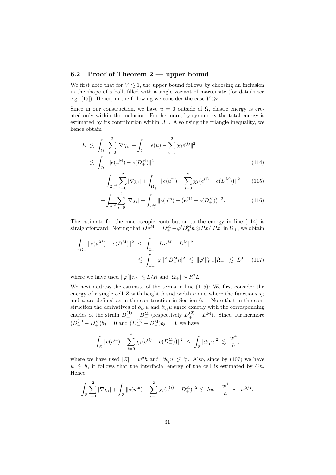## <span id="page-32-0"></span>6.2 Proof of Theorem [2](#page-11-2) — upper bound

We first note that for  $V \lesssim 1$ , the upper bound follows by choosing an inclusion in the shape of a ball, filled with a single variant of martensite (for details see e.g. [\[15\]](#page-34-7)). Hence, in the following we consider the case  $V \gg 1$ .

Since in our construction, we have  $u = 0$  outside of  $\Omega$ , elastic energy is created only within the inclusion. Furthermore, by symmetry the total energy is estimated by its contribution within  $\Omega_{+}$ . Also using the triangle inequality, we hence obtain

$$
E \lesssim \int_{\Omega_+} \sum_{i=0}^2 |\nabla \chi_i| + \int_{\Omega_+} ||e(u) - \sum_{i=0}^2 \chi_i e^{(i)}||^2
$$
  
 
$$
\lesssim \int_{\Omega_+} ||e(u^{\mathcal{M}}) - e(D_+^{\mathcal{M}})||^2
$$
 (114)

<span id="page-32-2"></span><span id="page-32-1"></span>
$$
+ \int_{\Omega_{+}^{\text{int}}} \sum_{i=0}^{2} |\nabla \chi_{i}| + \int_{\Omega_{+}^{\text{int}}} ||e(u^{\mathbf{m}}) - \sum_{i=0}^{2} \chi_{i} (e^{(i)} - e(D_{+}^{\mathbf{M}}))||^{2}
$$
 (115)

<span id="page-32-4"></span><span id="page-32-3"></span>
$$
+\int_{\overline{\Omega^{bl}_+}} \sum_{i=0}^2 |\nabla \chi_i| + \int_{\Omega^{bl}_+} ||e(u^{\mathbf{m}}) - (e^{(1)} - e(D^{\mathbf{M}}_+))||^2.
$$
 (116)

The estimate for the macroscopic contribution to the energy in line [\(114\)](#page-32-1) is straightforward: Noting that  $Du^M = D^M_+ - \varphi' D^M_+ n \otimes Px / |Px|$  in  $\Omega_+$ , we obtain

$$
\int_{\Omega_+} \|e(u^M) - e(D_+^M)\|^2 \le \int_{\Omega_+} \|Du^M - D_+^M\|^2
$$
  

$$
\lesssim \int_{\Omega_+} |\varphi'|^2 |D_+^M n|^2 \lesssim \|\varphi'\|_{L^\infty}^2 |\Omega_+| \lesssim L^3, \quad (117)
$$

where we have used  $\|\varphi'\|_{L^{\infty}} \lesssim L/R$  and  $|\Omega_{+}| \sim R^2L$ .

We next address the estimate of the terms in line [\(115\)](#page-32-2): We first consider the energy of a single cell Z with height h and width a and where the functions  $\chi_i$ and  $u$  are defined as in the construction in Section [6.1.](#page-27-1) Note that in the construction the derivatives of  $\partial_{b_2} u$  and  $\partial_{b_3} u$  agree exactly with the corresponding entries of the strain  $D_{+}^{(1)} - D_{+}^{M}$  (respectively  $D_{+}^{(2)} - D_{-}^{M}$ ). Since, furthermore  $(D_+^{(1)} - D_+^{\text{M}})b_2 = 0$  and  $(D_+^{(2)} - D_+^{\text{M}})b_3 = 0$ , we have

$$
\int_Z ||e(u^{\mathbf{m}}) - \sum_{i=0}^2 \chi_i (e^{(i)} - e(D_+^{\mathbf{M}}))||^2 \leq \int_Z |\partial_{b_1} u|^2 \leq \frac{w^4}{h},
$$

where we have used  $|Z| = w^2 h$  and  $|\partial_{b_1} u| \lesssim \frac{w}{h}$ . Also, since by [\(107\)](#page-31-0) we have  $w \leq h$ , it follows that the interfacial energy of the cell is estimated by Ch. Hence

$$
\int_Z \sum_{i=1}^2 |\nabla \chi_i| + \int_Z \|e(u^{\mathbf{m}}) - \sum_{i=1}^2 \chi_i(e^{(i)} - D_+^{\mathbf{M}})\|^2 \lesssim hw + \frac{w^4}{h} \sim w^{5/2},
$$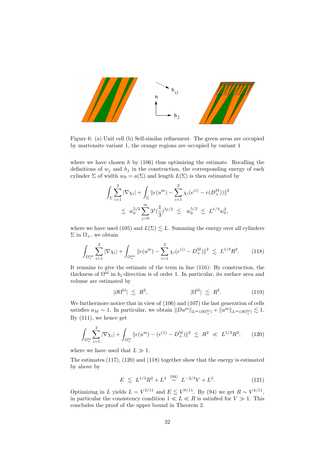

<span id="page-33-0"></span>Figure 6: (a) Unit cell (b) Self-similar refinement. The green areas are occupied by martensite variant 1, the orange regions are occupied by variant 1

where we have chosen  $h$  by [\(106\)](#page-31-1) thus optimizing the estimate. Recalling the definitions of  $w_i$  and  $h_i$  in the construction, the corresponding energy of each cylinder  $\Sigma$  of width  $w_0 = a(\Sigma)$  and length  $L(\Sigma)$  is then estimated by

$$
\int_{\Sigma} \sum_{i=1}^{2} |\nabla \chi_i| + \int_{\Sigma} ||e(u^{\mathbf{m}}) - \sum_{i=1}^{2} \chi_i(e^{(i)} - e(D_+^{\mathbf{M}}))||^2
$$
  

$$
\lesssim w_0^{5/2} \sum_{j=0}^{\infty} 3^j (\frac{1}{3})^{3j/2} \lesssim w_0^{5/2} \lesssim L^{1/3} w_0^2,
$$

where we have used [\(105\)](#page-30-0) and  $L(\Sigma) \lesssim L$ . Summing the energy over all cylinders  $\Sigma$  in  $\Omega_{+}$ , we obtain

$$
\int_{\Omega_{+}^{\text{int}}} \sum_{i=1}^{2} |\nabla \chi_{i}| + \int_{\Omega_{+}^{\text{int}}} \|e(u^{m}) - \sum_{i=1}^{2} \chi_{i}(e^{(i)} - D_{+}^{M})\|^{2} \lesssim L^{1/3} R^{2}.
$$
 (118)

It remains to give the estimate of the term in line [\(116\)](#page-32-3): By construction, the thickness of  $\Omega^{\text{bl}}$  in  $b_1$ -direction is of order 1. In particular, its surface area and volume are estimated by

<span id="page-33-2"></span>
$$
|\partial\Omega^{\text{bl}}| \leq R^2, \qquad |\Omega^{\text{bl}}| \leq R^2. \tag{119}
$$

We furthermore notice that in view of [\(106\)](#page-31-1) and [\(107\)](#page-31-0) the last generation of cells satisfies  $a_M \sim 1$ . In particular, we obtain  $||Du^m||_{L^{\infty}(\partial \Omega^{\text{bl}}_+)} + ||u^m||_{L^{\infty}(\partial \Omega^{\text{bl}}_+)} \lesssim 1$ . By [\(111\)](#page-31-2), we hence get

$$
\int_{\Omega_{+}^{\text{bl}}} \sum_{i=1}^{2} |\nabla \chi_i| + \int_{\Omega_{+}^{\text{bl}}} \|e(u^{\mathbf{m}}) - (e^{(1)} - D_{+}^{\text{M}})\|^2 \leq R^2 \ll L^{1/3} R^2, \qquad (120)
$$

where we have used that  $L \gg 1$ .

The estimates [\(117\)](#page-32-4), [\(120\)](#page-33-1) and [\(118\)](#page-33-2) together show that the energy is estimated by above by

<span id="page-33-1"></span>
$$
E \le L^{1/3} R^2 + L^{3} \stackrel{(94)}{\sim} L^{-2/3} V + L^3. \tag{121}
$$

Optimizing in L yields  $L = V^{3/11}$  and  $E \lesssim V^{9/11}$ . By [\(94\)](#page-27-3) we get  $R \sim V^{4/11}$ , in particular the consistency condition  $1 \ll L \ll R$  is satisfied for  $V \gg 1$ . This concludes the proof of the upper bound in Theorem [2.](#page-11-2)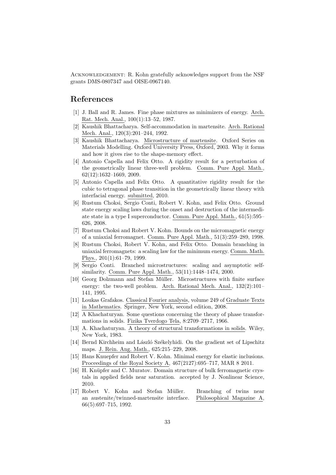ACKNOWLEDGEMENT: R. Kohn gratefully acknowledges support from the NSF grants DMS-0807347 and OISE-0967140.

## References

- <span id="page-34-1"></span>[1] J. Ball and R. James. Fine phase mixtures as minimizers of energy. Arch. Rat. Mech. Anal., 100(1):13–52, 1987.
- <span id="page-34-10"></span>[2] Kaushik Bhattacharya. Self-accommodation in martensite. Arch. Rational Mech. Anal., 120(3):201–244, 1992.
- <span id="page-34-8"></span>[3] Kaushik Bhattacharya. Microstructure of martensite. Oxford Series on Materials Modelling. Oxford University Press, Oxford, 2003. Why it forms and how it gives rise to the shape-memory effect.
- <span id="page-34-5"></span>[4] Antonio Capella and Felix Otto. A rigidity result for a perturbation of the geometrically linear three-well problem. Comm. Pure Appl. Math., 62(12):1632–1669, 2009.
- <span id="page-34-6"></span>[5] Antonio Capella and Felix Otto. A quantitative rigidity result for the cubic to tetragonal phase transition in the geometrically linear theory with interfacial energy. submitted, 2010.
- <span id="page-34-13"></span>[6] Rustum Choksi, Sergio Conti, Robert V. Kohn, and Felix Otto. Ground state energy scaling laws during the onset and destruction of the intermediate state in a type I superconductor. Comm. Pure Appl. Math., 61(5):595– 626, 2008.
- <span id="page-34-11"></span>[7] Rustum Choksi and Robert V. Kohn. Bounds on the micromagnetic energy of a uniaxial ferromagnet. Comm. Pure Appl. Math., 51(3):259–289, 1998.
- <span id="page-34-12"></span>[8] Rustum Choksi, Robert V. Kohn, and Felix Otto. Domain branching in uniaxial ferromagnets: a scaling law for the minimum energy. Comm. Math. Phys., 201(1):61–79, 1999.
- <span id="page-34-4"></span>[9] Sergio Conti. Branched microstructures: scaling and asymptotic selfsimilarity. Comm. Pure Appl. Math., 53(11):1448–1474, 2000.
- <span id="page-34-0"></span>[10] Georg Dolzmann and Stefan Müller. Microstructures with finite surface energy: the two-well problem. Arch. Rational Mech. Anal., 132(2):101– 141, 1995.
- <span id="page-34-16"></span>[11] Loukas Grafakos. Classical Fourier analysis, volume 249 of Graduate Texts in Mathematics. Springer, New York, second edition, 2008.
- <span id="page-34-9"></span>[12] A Khachaturyan. Some questions concerning the theory of phase transformations in solids. Fizika Tverdogo Tela, 8:2709–2717, 1966.
- <span id="page-34-15"></span>[13] A. Khachaturyan. A theory of structural transformations in solids. Wiley, New York, 1983.
- <span id="page-34-2"></span>[14] Bernd Kirchheim and László Székelyhidi. On the gradient set of Lipschitz maps. J. Rein. Ang. Math., 625:215–229, 2008.
- <span id="page-34-7"></span>[15] Hans Knuepfer and Robert V. Kohn. Minimal energy for elastic inclusions. Proceedings of the Royal Society A, 467(2127):695–717, MAR 8 2011.
- <span id="page-34-14"></span>[16] H. Knüpfer and C. Muratov. Domain structure of bulk ferromagnetic crystals in applied fields near saturation. accepted by J. Nonlinear Science, 2010.
- <span id="page-34-3"></span>[17] Robert V. Kohn and Stefan Müller. Branching of twins near an austenite/twinned-martensite interface. Philosophical Magazine A, 66(5):697–715, 1992.